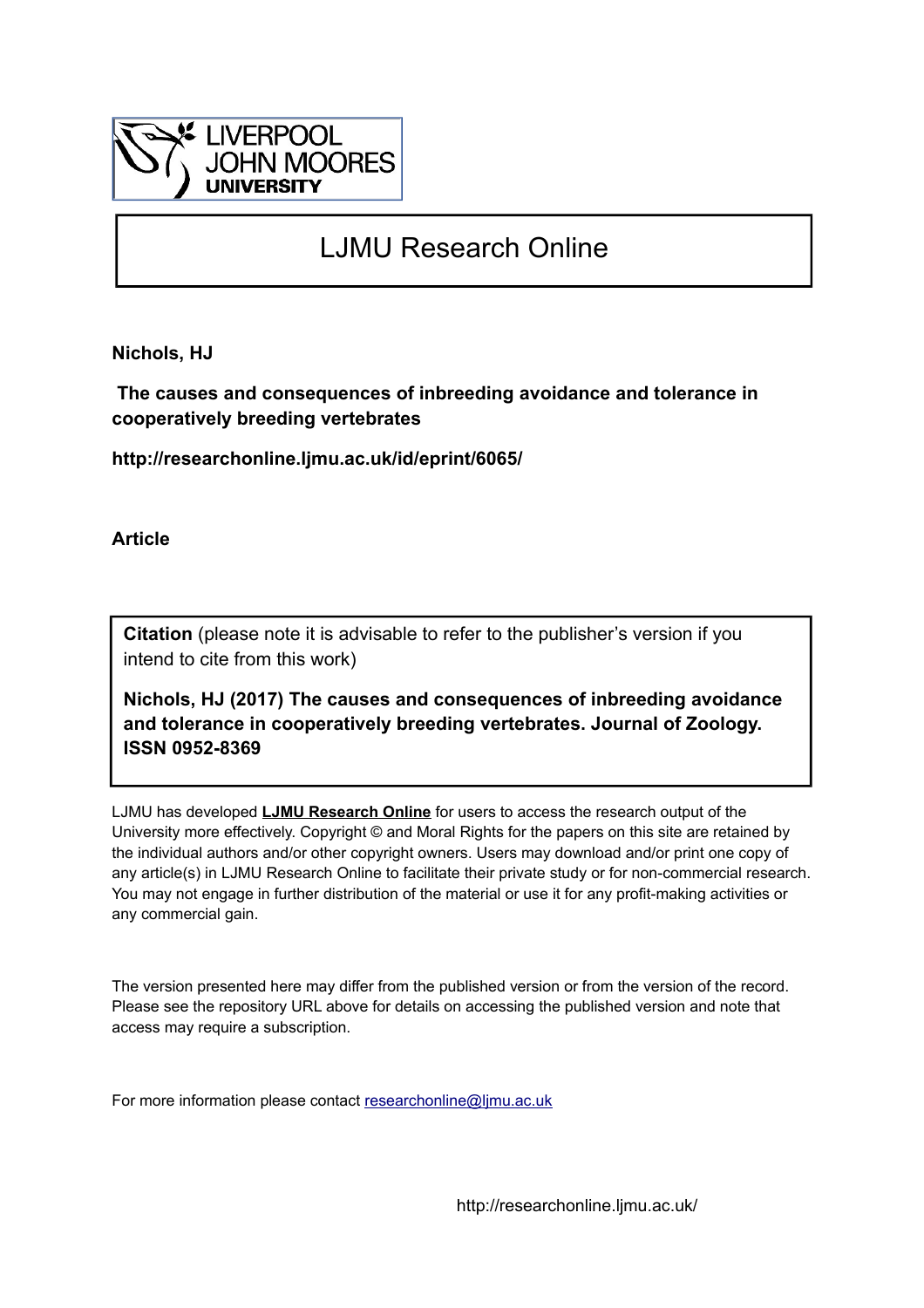

## LJMU Research Online

**Nichols, HJ**

 **The causes and consequences of inbreeding avoidance and tolerance in cooperatively breeding vertebrates**

**http://researchonline.ljmu.ac.uk/id/eprint/6065/**

**Article**

**Citation** (please note it is advisable to refer to the publisher's version if you intend to cite from this work)

**Nichols, HJ (2017) The causes and consequences of inbreeding avoidance and tolerance in cooperatively breeding vertebrates. Journal of Zoology. ISSN 0952-8369** 

LJMU has developed **[LJMU Research Online](http://researchonline.ljmu.ac.uk/)** for users to access the research output of the University more effectively. Copyright © and Moral Rights for the papers on this site are retained by the individual authors and/or other copyright owners. Users may download and/or print one copy of any article(s) in LJMU Research Online to facilitate their private study or for non-commercial research. You may not engage in further distribution of the material or use it for any profit-making activities or any commercial gain.

The version presented here may differ from the published version or from the version of the record. Please see the repository URL above for details on accessing the published version and note that access may require a subscription.

For more information please contact [researchonline@ljmu.ac.uk](mailto:researchonline@ljmu.ac.uk)

http://researchonline.ljmu.ac.uk/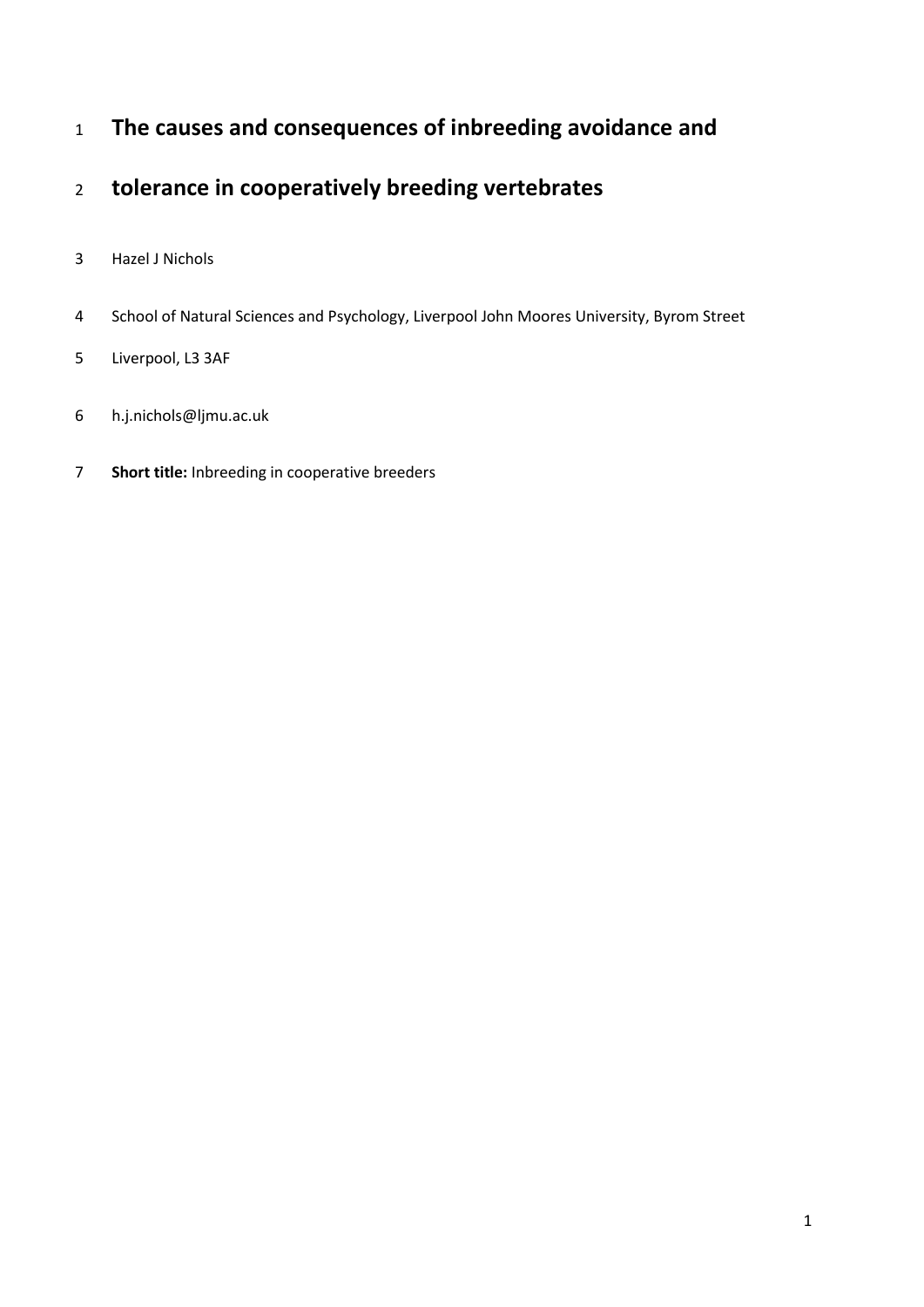# **The causes and consequences of inbreeding avoidance and**

## **tolerance in cooperatively breeding vertebrates**

- Hazel J Nichols
- School of Natural Sciences and Psychology, Liverpool John Moores University, Byrom Street
- Liverpool, L3 3AF
- h.j.nichols@ljmu.ac.uk
- **Short title:** Inbreeding in cooperative breeders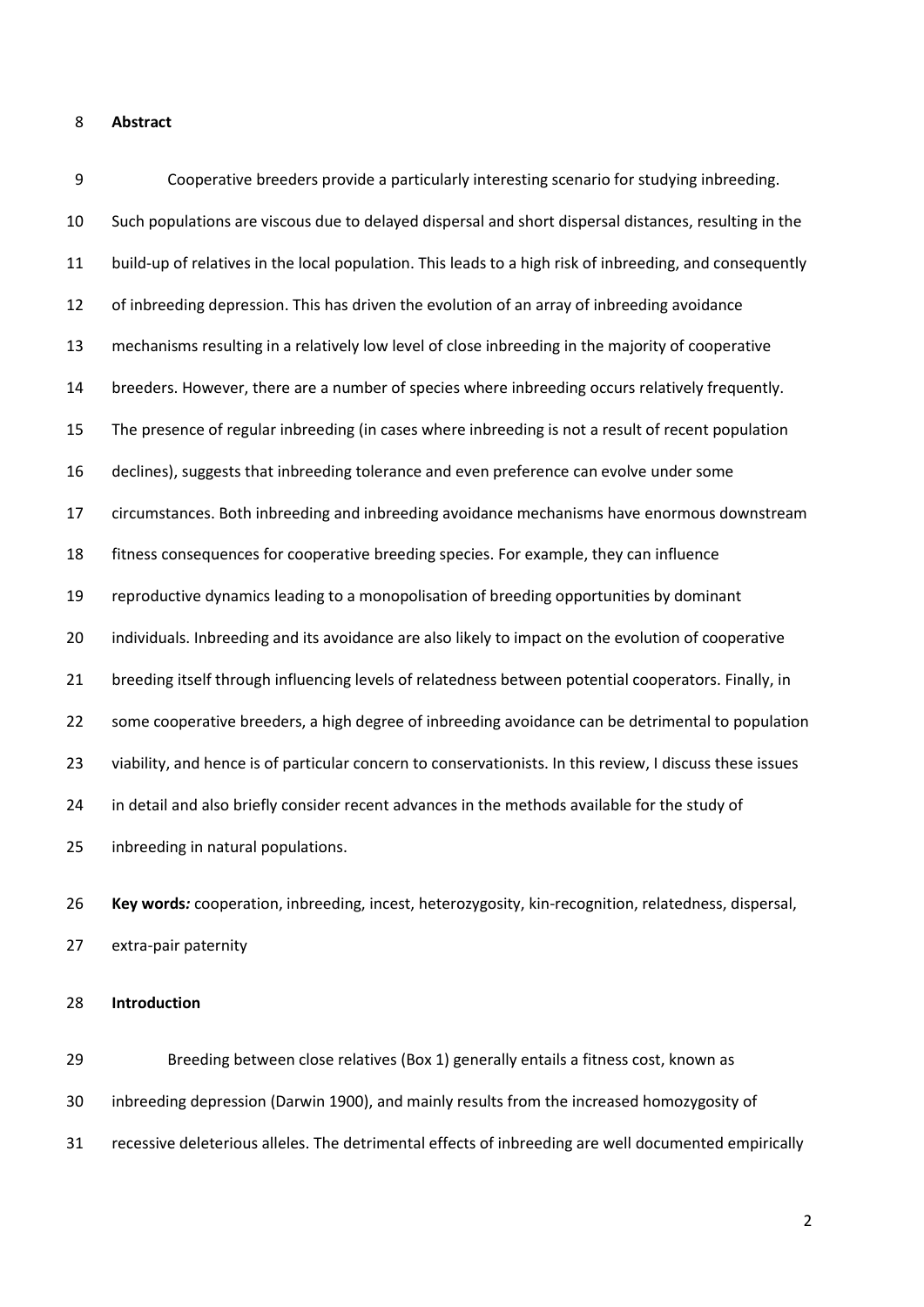#### **Abstract**

 Cooperative breeders provide a particularly interesting scenario for studying inbreeding. Such populations are viscous due to delayed dispersal and short dispersal distances, resulting in the build-up of relatives in the local population. This leads to a high risk of inbreeding, and consequently of inbreeding depression. This has driven the evolution of an array of inbreeding avoidance mechanisms resulting in a relatively low level of close inbreeding in the majority of cooperative breeders. However, there are a number of species where inbreeding occurs relatively frequently. The presence of regular inbreeding (in cases where inbreeding is not a result of recent population declines), suggests that inbreeding tolerance and even preference can evolve under some circumstances. Both inbreeding and inbreeding avoidance mechanisms have enormous downstream fitness consequences for cooperative breeding species. For example, they can influence reproductive dynamics leading to a monopolisation of breeding opportunities by dominant 20 individuals. Inbreeding and its avoidance are also likely to impact on the evolution of cooperative breeding itself through influencing levels of relatedness between potential cooperators. Finally, in some cooperative breeders, a high degree of inbreeding avoidance can be detrimental to population viability, and hence is of particular concern to conservationists. In this review, I discuss these issues in detail and also briefly consider recent advances in the methods available for the study of inbreeding in natural populations. **Key words***:* cooperation, inbreeding, incest, heterozygosity, kin-recognition, relatedness, dispersal, extra-pair paternity

### **Introduction**

 Breeding between close relatives (Box 1) generally entails a fitness cost, known as inbreeding depression (Darwin 1900), and mainly results from the increased homozygosity of recessive deleterious alleles. The detrimental effects of inbreeding are well documented empirically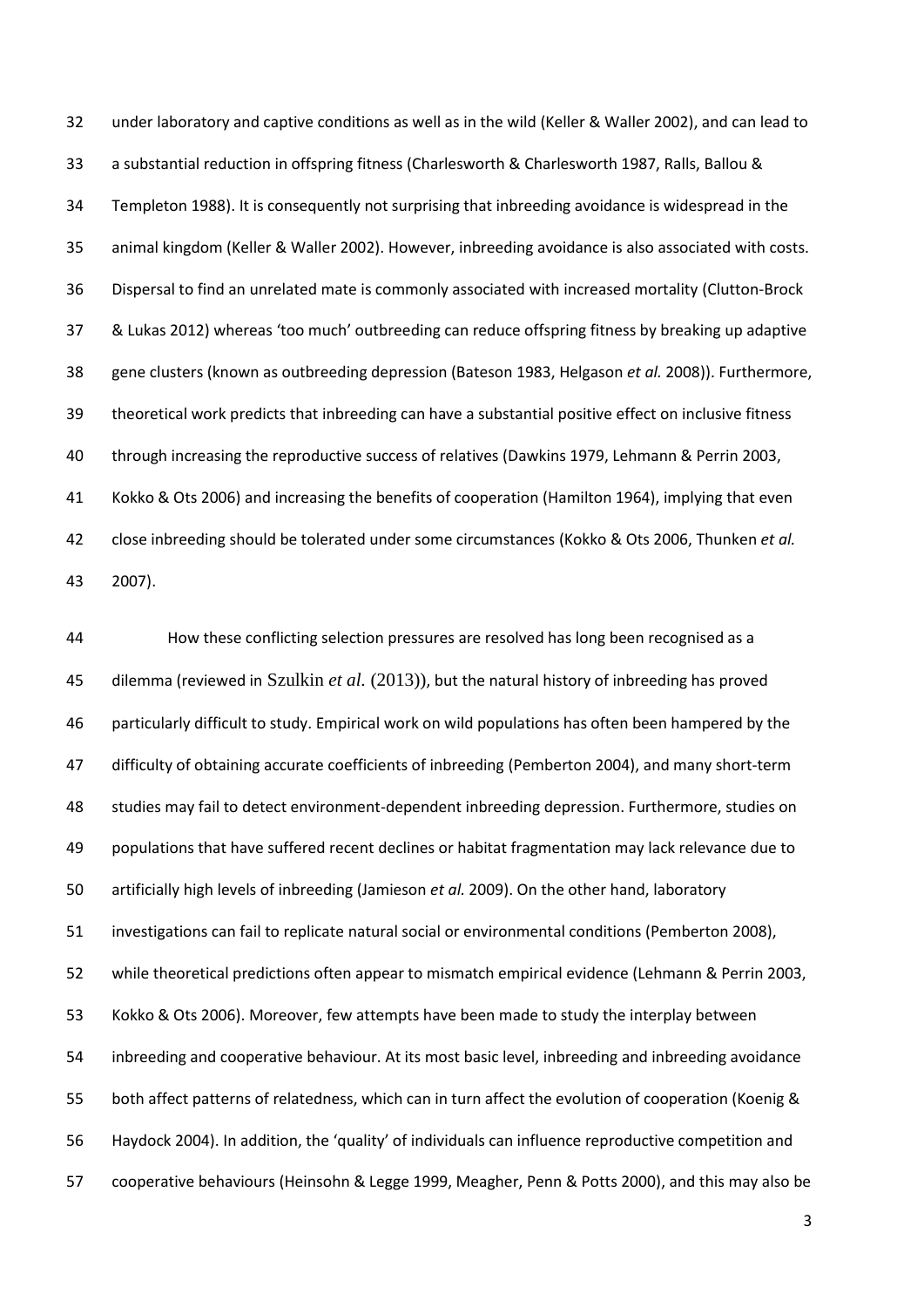under laboratory and captive conditions as well as in the wild (Keller & Waller 2002), and can lead to a substantial reduction in offspring fitness (Charlesworth & Charlesworth 1987, Ralls, Ballou & Templeton 1988). It is consequently not surprising that inbreeding avoidance is widespread in the animal kingdom (Keller & Waller 2002). However, inbreeding avoidance is also associated with costs. Dispersal to find an unrelated mate is commonly associated with increased mortality (Clutton-Brock & Lukas 2012) whereas 'too much' outbreeding can reduce offspring fitness by breaking up adaptive gene clusters (known as outbreeding depression (Bateson 1983, Helgason *et al.* 2008)). Furthermore, theoretical work predicts that inbreeding can have a substantial positive effect on inclusive fitness through increasing the reproductive success of relatives (Dawkins 1979, Lehmann & Perrin 2003, Kokko & Ots 2006) and increasing the benefits of cooperation (Hamilton 1964), implying that even close inbreeding should be tolerated under some circumstances (Kokko & Ots 2006, Thunken *et al.* 2007).

 How these conflicting selection pressures are resolved has long been recognised as a dilemma (reviewed in Szulkin *et al.* (2013)), but the natural history of inbreeding has proved particularly difficult to study. Empirical work on wild populations has often been hampered by the difficulty of obtaining accurate coefficients of inbreeding (Pemberton 2004), and many short-term studies may fail to detect environment-dependent inbreeding depression. Furthermore, studies on populations that have suffered recent declines or habitat fragmentation may lack relevance due to artificially high levels of inbreeding (Jamieson *et al.* 2009). On the other hand, laboratory investigations can fail to replicate natural social or environmental conditions (Pemberton 2008), while theoretical predictions often appear to mismatch empirical evidence (Lehmann & Perrin 2003, Kokko & Ots 2006). Moreover, few attempts have been made to study the interplay between inbreeding and cooperative behaviour. At its most basic level, inbreeding and inbreeding avoidance both affect patterns of relatedness, which can in turn affect the evolution of cooperation (Koenig & Haydock 2004). In addition, the 'quality' of individuals can influence reproductive competition and cooperative behaviours (Heinsohn & Legge 1999, Meagher, Penn & Potts 2000), and this may also be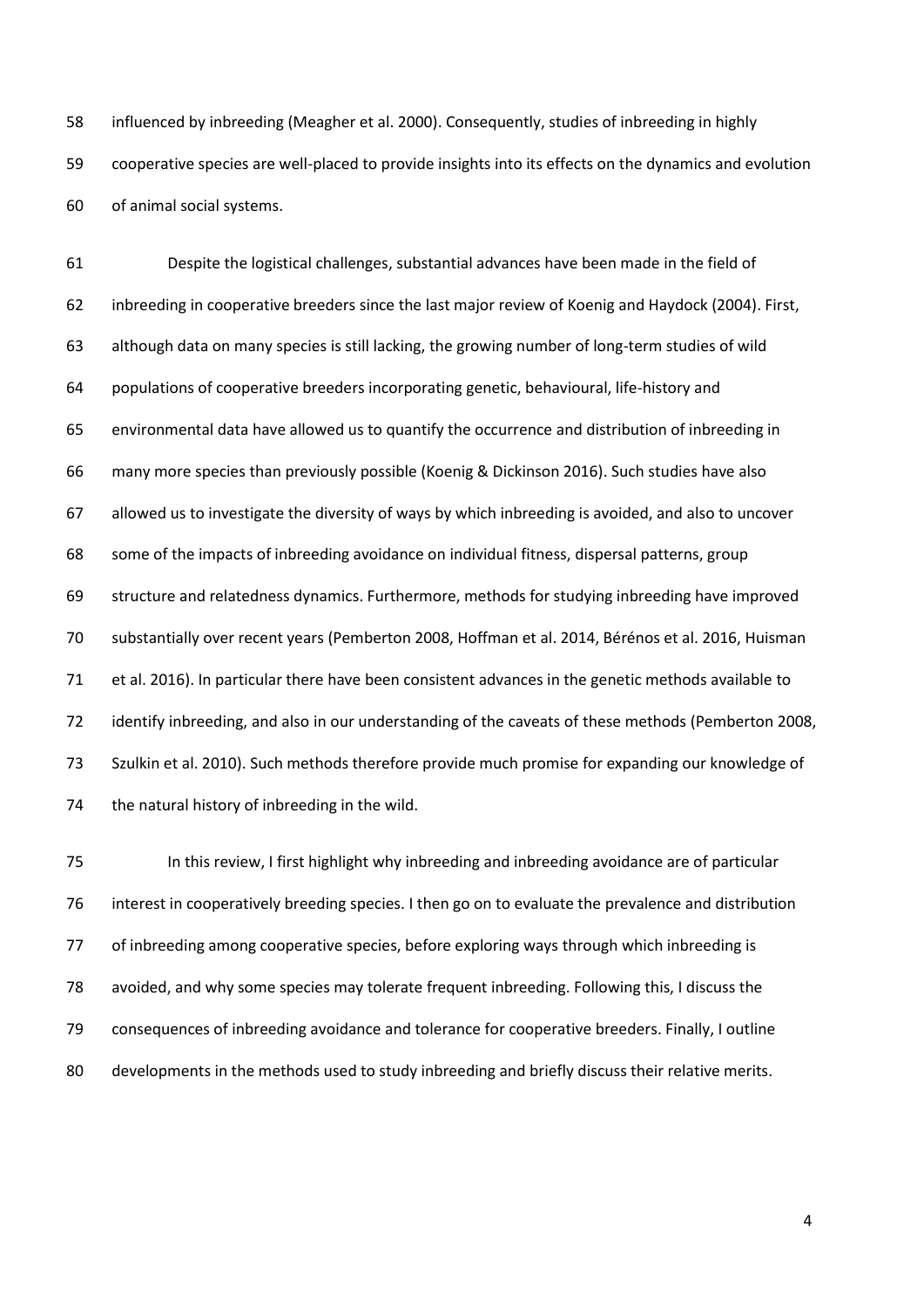influenced by inbreeding (Meagher et al. 2000). Consequently, studies of inbreeding in highly cooperative species are well-placed to provide insights into its effects on the dynamics and evolution of animal social systems.

 Despite the logistical challenges, substantial advances have been made in the field of inbreeding in cooperative breeders since the last major review of Koenig and Haydock (2004). First, although data on many species is still lacking, the growing number of long-term studies of wild populations of cooperative breeders incorporating genetic, behavioural, life-history and environmental data have allowed us to quantify the occurrence and distribution of inbreeding in many more species than previously possible (Koenig & Dickinson 2016). Such studies have also allowed us to investigate the diversity of ways by which inbreeding is avoided, and also to uncover some of the impacts of inbreeding avoidance on individual fitness, dispersal patterns, group structure and relatedness dynamics. Furthermore, methods for studying inbreeding have improved substantially over recent years (Pemberton 2008, Hoffman et al. 2014, Bérénos et al. 2016, Huisman et al. 2016). In particular there have been consistent advances in the genetic methods available to identify inbreeding, and also in our understanding of the caveats of these methods (Pemberton 2008, Szulkin et al. 2010). Such methods therefore provide much promise for expanding our knowledge of the natural history of inbreeding in the wild.

 In this review, I first highlight why inbreeding and inbreeding avoidance are of particular interest in cooperatively breeding species. I then go on to evaluate the prevalence and distribution of inbreeding among cooperative species, before exploring ways through which inbreeding is avoided, and why some species may tolerate frequent inbreeding. Following this, I discuss the consequences of inbreeding avoidance and tolerance for cooperative breeders. Finally, I outline 80 developments in the methods used to study inbreeding and briefly discuss their relative merits.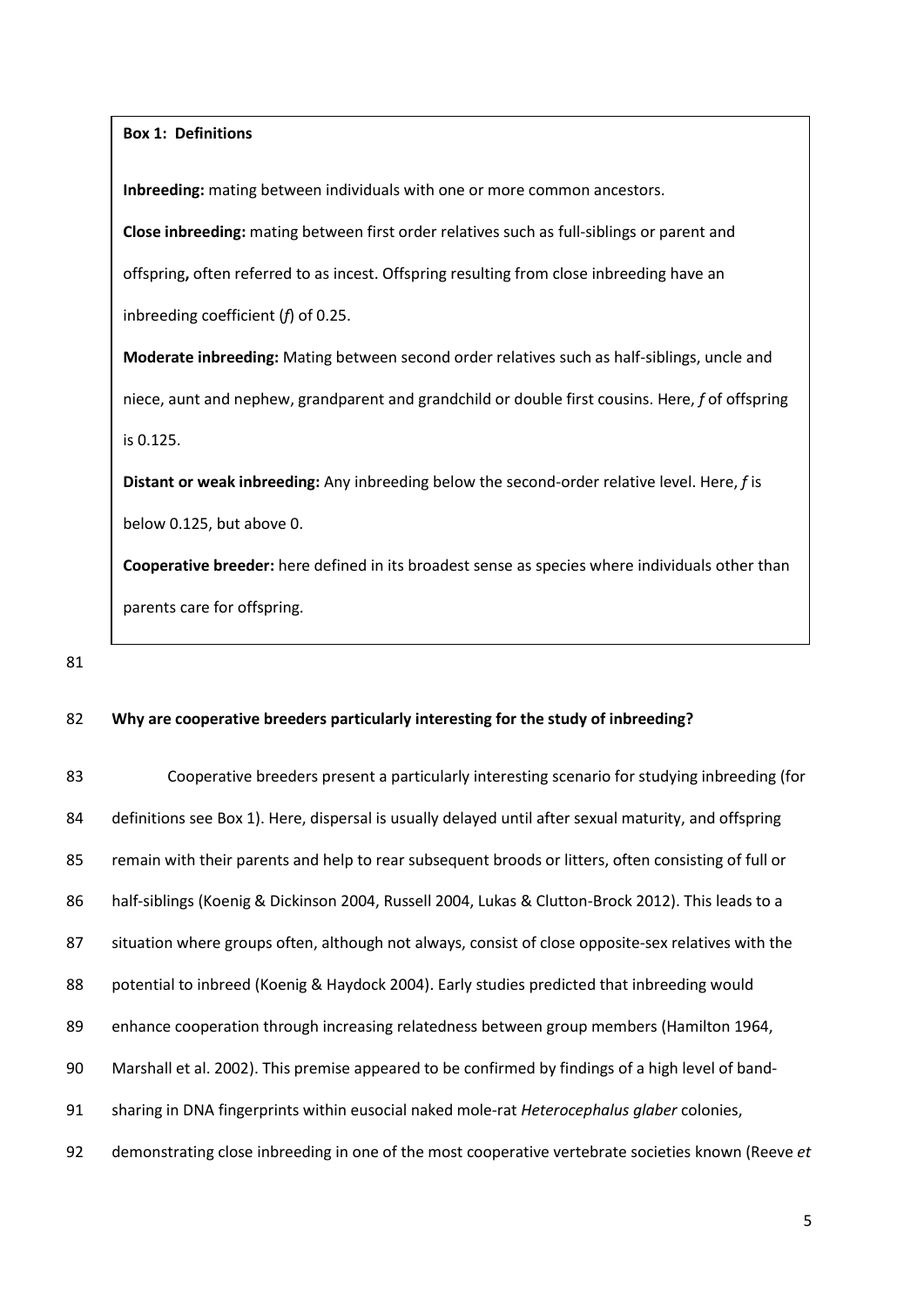**Box 1: Definitions**

**Inbreeding:** mating between individuals with one or more common ancestors.

**Close inbreeding:** mating between first order relatives such as full-siblings or parent and offspring**,** often referred to as incest. Offspring resulting from close inbreeding have an

inbreeding coefficient (*f*) of 0.25.

**Moderate inbreeding:** Mating between second order relatives such as half-siblings, uncle and niece, aunt and nephew, grandparent and grandchild or double first cousins. Here, *f* of offspring is 0.125.

**Distant or weak inbreeding:** Any inbreeding below the second-order relative level. Here, *f* is below 0.125, but above 0.

**Cooperative breeder:** here defined in its broadest sense as species where individuals other than parents care for offspring.

81

## 82 **Why are cooperative breeders particularly interesting for the study of inbreeding?**

 Cooperative breeders present a particularly interesting scenario for studying inbreeding (for definitions see Box 1). Here, dispersal is usually delayed until after sexual maturity, and offspring remain with their parents and help to rear subsequent broods or litters, often consisting of full or half-siblings (Koenig & Dickinson 2004, Russell 2004, Lukas & Clutton-Brock 2012). This leads to a situation where groups often, although not always, consist of close opposite-sex relatives with the potential to inbreed (Koenig & Haydock 2004). Early studies predicted that inbreeding would enhance cooperation through increasing relatedness between group members (Hamilton 1964, Marshall et al. 2002). This premise appeared to be confirmed by findings of a high level of band- sharing in DNA fingerprints within eusocial naked mole-rat *Heterocephalus glaber* colonies, demonstrating close inbreeding in one of the most cooperative vertebrate societies known (Reeve *et*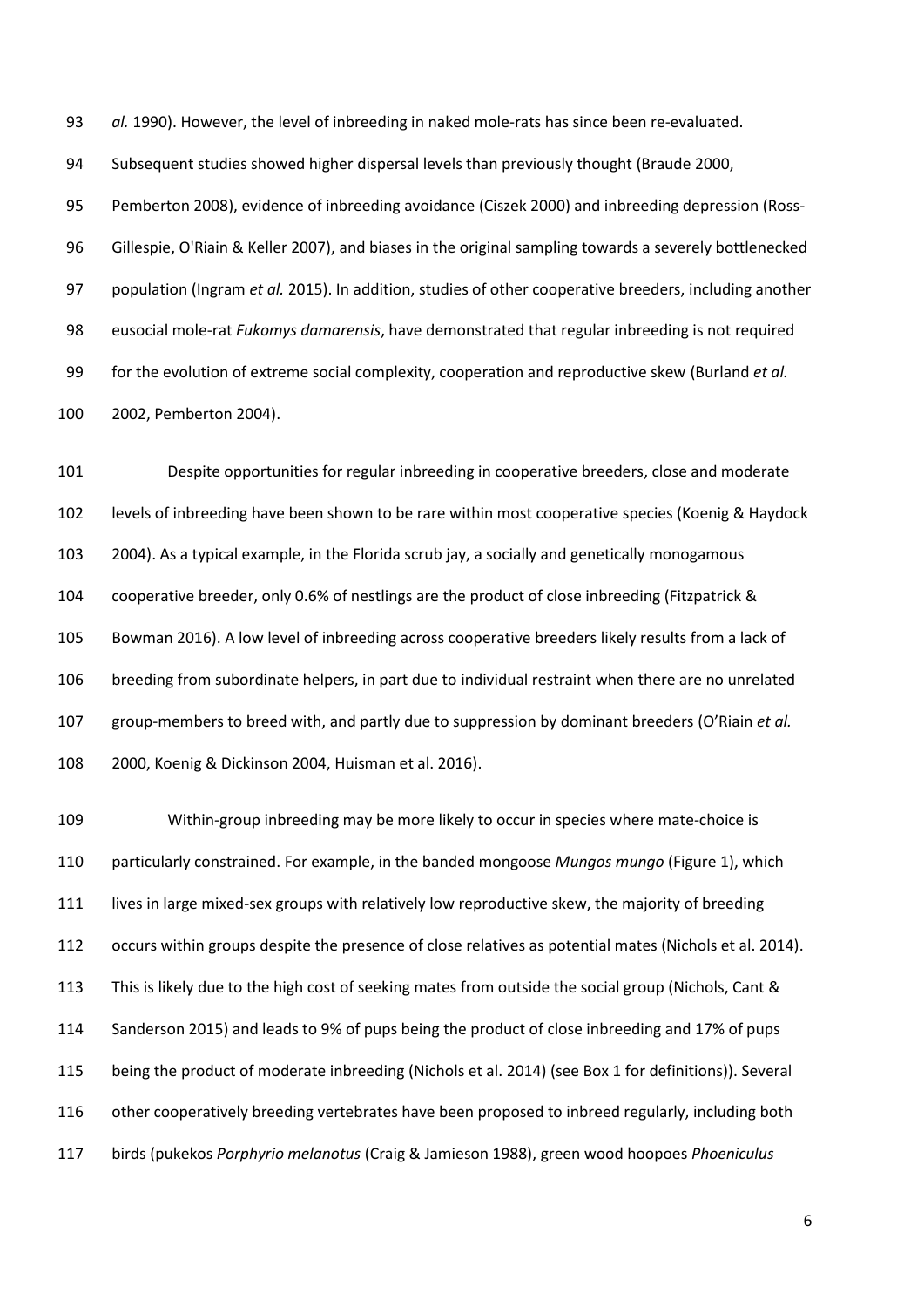*al.* 1990). However, the level of inbreeding in naked mole-rats has since been re-evaluated.

Subsequent studies showed higher dispersal levels than previously thought (Braude 2000,

 Pemberton 2008), evidence of inbreeding avoidance (Ciszek 2000) and inbreeding depression (Ross- Gillespie, O'Riain & Keller 2007), and biases in the original sampling towards a severely bottlenecked population (Ingram *et al.* 2015). In addition, studies of other cooperative breeders, including another eusocial mole-rat *Fukomys damarensis*, have demonstrated that regular inbreeding is not required for the evolution of extreme social complexity, cooperation and reproductive skew (Burland *et al.* 2002, Pemberton 2004).

 Despite opportunities for regular inbreeding in cooperative breeders, close and moderate levels of inbreeding have been shown to be rare within most cooperative species (Koenig & Haydock 2004). As a typical example, in the Florida scrub jay, a socially and genetically monogamous cooperative breeder, only 0.6% of nestlings are the product of close inbreeding (Fitzpatrick & Bowman 2016). A low level of inbreeding across cooperative breeders likely results from a lack of breeding from subordinate helpers, in part due to individual restraint when there are no unrelated group-members to breed with, and partly due to suppression by dominant breeders (O'Riain *et al.* 2000, Koenig & Dickinson 2004, Huisman et al. 2016).

 Within-group inbreeding may be more likely to occur in species where mate-choice is particularly constrained. For example, in the banded mongoose *Mungos mungo* (Figure 1), which 111 lives in large mixed-sex groups with relatively low reproductive skew, the majority of breeding occurs within groups despite the presence of close relatives as potential mates (Nichols et al. 2014). This is likely due to the high cost of seeking mates from outside the social group (Nichols, Cant & Sanderson 2015) and leads to 9% of pups being the product of close inbreeding and 17% of pups being the product of moderate inbreeding (Nichols et al. 2014) (see Box 1 for definitions)). Several other cooperatively breeding vertebrates have been proposed to inbreed regularly, including both birds (pukekos *Porphyrio melanotus* (Craig & Jamieson 1988), green wood hoopoes *Phoeniculus*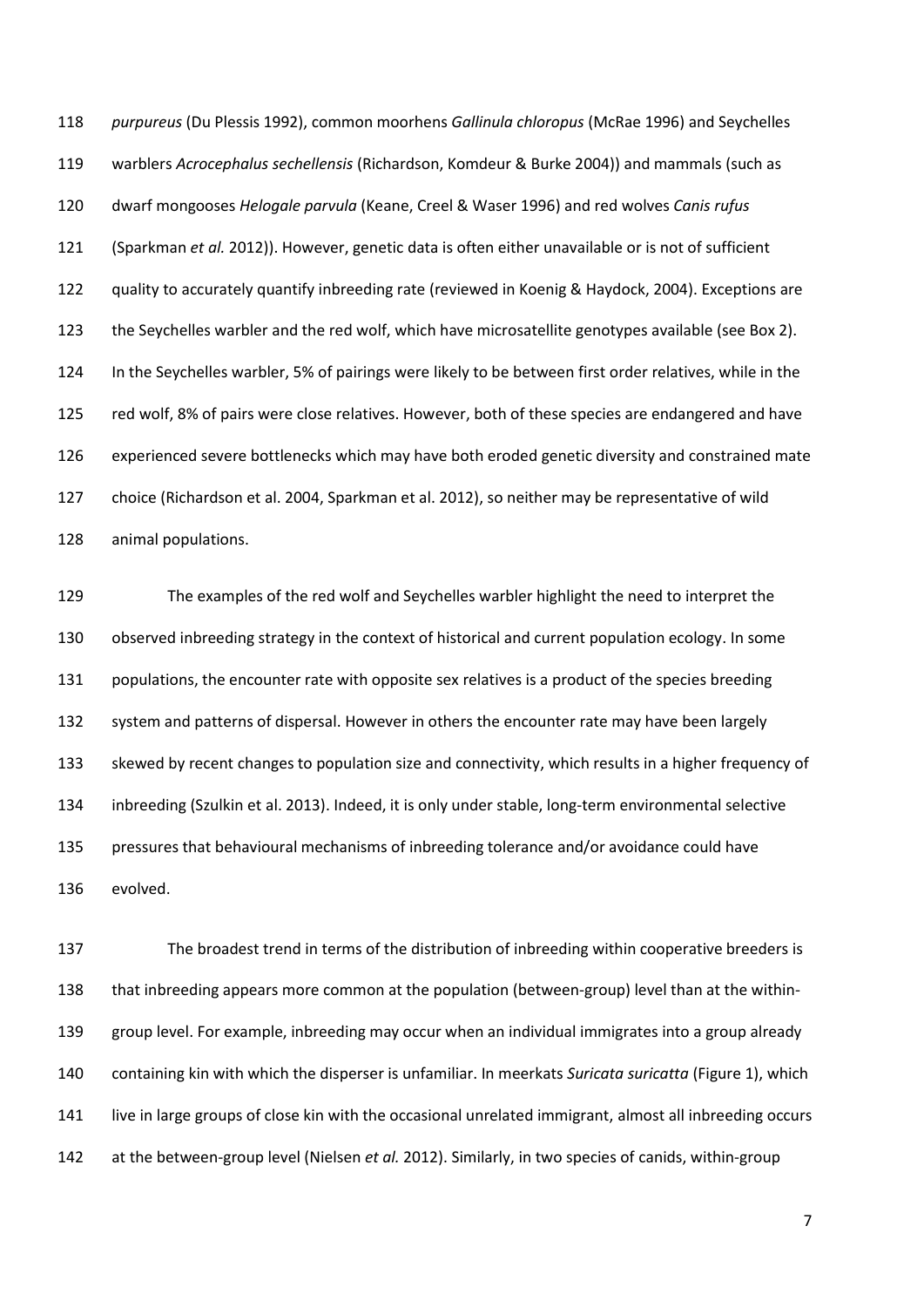*purpureus* (Du Plessis 1992), common moorhens *Gallinula chloropus* (McRae 1996) and Seychelles warblers *Acrocephalus sechellensis* (Richardson, Komdeur & Burke 2004)) and mammals (such as dwarf mongooses *Helogale parvula* (Keane, Creel & Waser 1996) and red wolves *Canis rufus* (Sparkman *et al.* 2012)). However, genetic data is often either unavailable or is not of sufficient quality to accurately quantify inbreeding rate (reviewed in Koenig & Haydock, 2004). Exceptions are the Seychelles warbler and the red wolf, which have microsatellite genotypes available (see Box 2). In the Seychelles warbler, 5% of pairings were likely to be between first order relatives, while in the red wolf, 8% of pairs were close relatives. However, both of these species are endangered and have experienced severe bottlenecks which may have both eroded genetic diversity and constrained mate choice (Richardson et al. 2004, Sparkman et al. 2012), so neither may be representative of wild animal populations.

 The examples of the red wolf and Seychelles warbler highlight the need to interpret the observed inbreeding strategy in the context of historical and current population ecology. In some 131 populations, the encounter rate with opposite sex relatives is a product of the species breeding system and patterns of dispersal. However in others the encounter rate may have been largely skewed by recent changes to population size and connectivity, which results in a higher frequency of inbreeding (Szulkin et al. 2013). Indeed, it is only under stable, long-term environmental selective pressures that behavioural mechanisms of inbreeding tolerance and/or avoidance could have evolved.

 The broadest trend in terms of the distribution of inbreeding within cooperative breeders is that inbreeding appears more common at the population (between-group) level than at the within- group level. For example, inbreeding may occur when an individual immigrates into a group already containing kin with which the disperser is unfamiliar. In meerkats *Suricata suricatta* (Figure 1), which live in large groups of close kin with the occasional unrelated immigrant, almost all inbreeding occurs at the between-group level (Nielsen *et al.* 2012). Similarly, in two species of canids, within-group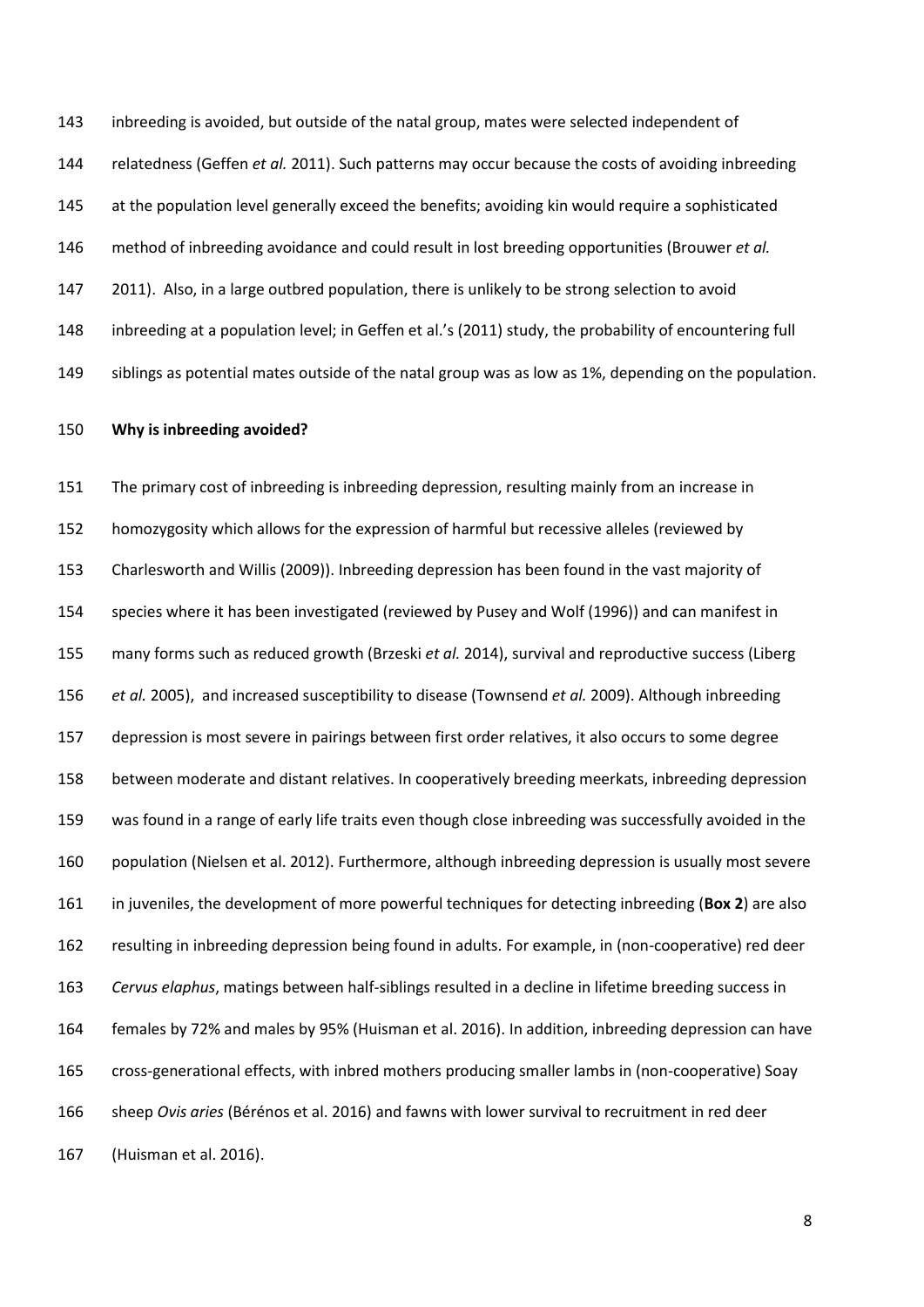inbreeding is avoided, but outside of the natal group, mates were selected independent of relatedness (Geffen *et al.* 2011). Such patterns may occur because the costs of avoiding inbreeding at the population level generally exceed the benefits; avoiding kin would require a sophisticated method of inbreeding avoidance and could result in lost breeding opportunities (Brouwer *et al.* 2011). Also, in a large outbred population, there is unlikely to be strong selection to avoid inbreeding at a population level; in Geffen et al.'s (2011) study, the probability of encountering full siblings as potential mates outside of the natal group was as low as 1%, depending on the population.

#### **Why is inbreeding avoided?**

 The primary cost of inbreeding is inbreeding depression, resulting mainly from an increase in homozygosity which allows for the expression of harmful but recessive alleles (reviewed by Charlesworth and Willis (2009)). Inbreeding depression has been found in the vast majority of species where it has been investigated (reviewed by Pusey and Wolf (1996)) and can manifest in many forms such as reduced growth (Brzeski *et al.* 2014), survival and reproductive success (Liberg *et al.* 2005), and increased susceptibility to disease (Townsend *et al.* 2009). Although inbreeding depression is most severe in pairings between first order relatives, it also occurs to some degree between moderate and distant relatives. In cooperatively breeding meerkats, inbreeding depression was found in a range of early life traits even though close inbreeding was successfully avoided in the population (Nielsen et al. 2012). Furthermore, although inbreeding depression is usually most severe in juveniles, the development of more powerful techniques for detecting inbreeding (**Box 2**) are also resulting in inbreeding depression being found in adults. For example, in (non-cooperative) red deer *Cervus elaphus*, matings between half-siblings resulted in a decline in lifetime breeding success in females by 72% and males by 95% (Huisman et al. 2016). In addition, inbreeding depression can have cross-generational effects, with inbred mothers producing smaller lambs in (non-cooperative) Soay sheep *Ovis aries* (Bérénos et al. 2016) and fawns with lower survival to recruitment in red deer (Huisman et al. 2016).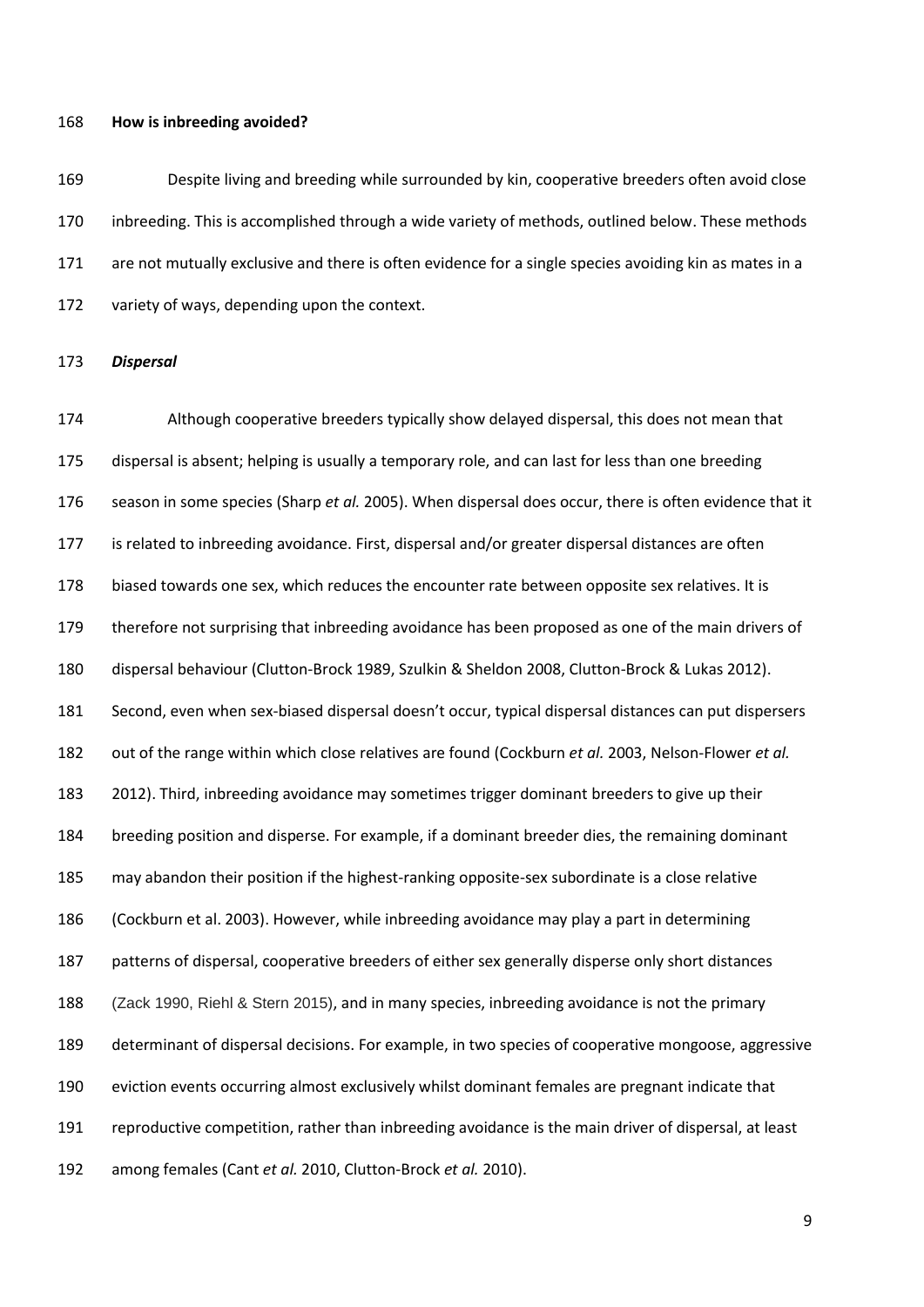#### **How is inbreeding avoided?**

 Despite living and breeding while surrounded by kin, cooperative breeders often avoid close inbreeding. This is accomplished through a wide variety of methods, outlined below. These methods are not mutually exclusive and there is often evidence for a single species avoiding kin as mates in a variety of ways, depending upon the context.

#### *Dispersal*

 Although cooperative breeders typically show delayed dispersal, this does not mean that dispersal is absent; helping is usually a temporary role, and can last for less than one breeding season in some species (Sharp *et al.* 2005). When dispersal does occur, there is often evidence that it is related to inbreeding avoidance. First, dispersal and/or greater dispersal distances are often biased towards one sex, which reduces the encounter rate between opposite sex relatives. It is therefore not surprising that inbreeding avoidance has been proposed as one of the main drivers of dispersal behaviour (Clutton-Brock 1989, Szulkin & Sheldon 2008, Clutton-Brock & Lukas 2012). Second, even when sex-biased dispersal doesn't occur, typical dispersal distances can put dispersers out of the range within which close relatives are found (Cockburn *et al.* 2003, Nelson-Flower *et al.* 2012). Third, inbreeding avoidance may sometimes trigger dominant breeders to give up their breeding position and disperse. For example, if a dominant breeder dies, the remaining dominant may abandon their position if the highest-ranking opposite-sex subordinate is a close relative (Cockburn et al. 2003). However, while inbreeding avoidance may play a part in determining patterns of dispersal, cooperative breeders of either sex generally disperse only short distances (Zack 1990, Riehl & Stern 2015), and in many species, inbreeding avoidance is not the primary determinant of dispersal decisions. For example, in two species of cooperative mongoose, aggressive eviction events occurring almost exclusively whilst dominant females are pregnant indicate that reproductive competition, rather than inbreeding avoidance is the main driver of dispersal, at least among females (Cant *et al.* 2010, Clutton-Brock *et al.* 2010).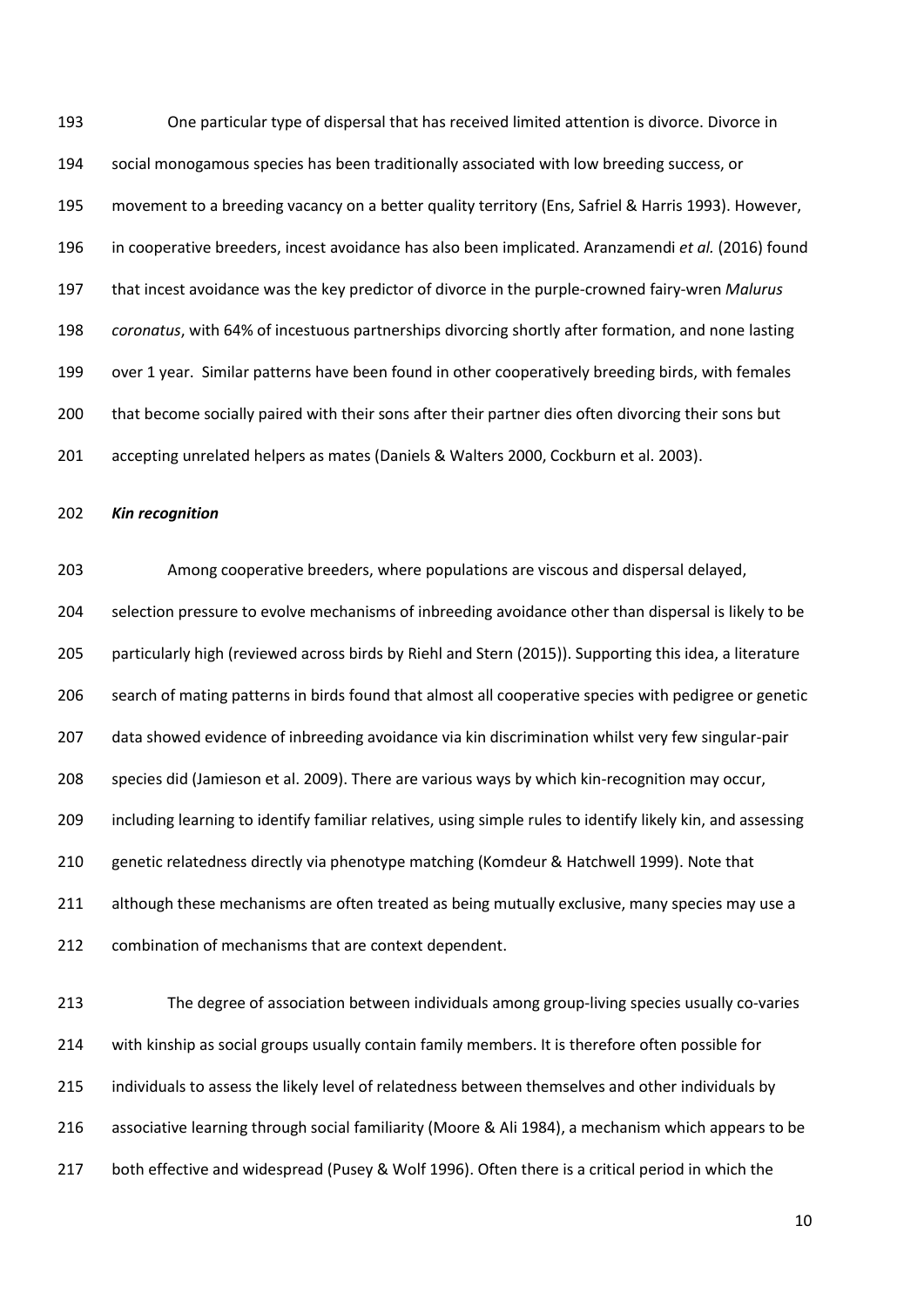One particular type of dispersal that has received limited attention is divorce. Divorce in social monogamous species has been traditionally associated with low breeding success, or movement to a breeding vacancy on a better quality territory (Ens, Safriel & Harris 1993). However, in cooperative breeders, incest avoidance has also been implicated. Aranzamendi *et al.* (2016) found that incest avoidance was the key predictor of divorce in the purple-crowned fairy-wren *Malurus coronatus*, with 64% of incestuous partnerships divorcing shortly after formation, and none lasting over 1 year. Similar patterns have been found in other cooperatively breeding birds, with females that become socially paired with their sons after their partner dies often divorcing their sons but accepting unrelated helpers as mates (Daniels & Walters 2000, Cockburn et al. 2003).

#### *Kin recognition*

 Among cooperative breeders, where populations are viscous and dispersal delayed, selection pressure to evolve mechanisms of inbreeding avoidance other than dispersal is likely to be particularly high (reviewed across birds by Riehl and Stern (2015)). Supporting this idea, a literature search of mating patterns in birds found that almost all cooperative species with pedigree or genetic data showed evidence of inbreeding avoidance via kin discrimination whilst very few singular-pair species did (Jamieson et al. 2009). There are various ways by which kin-recognition may occur, including learning to identify familiar relatives, using simple rules to identify likely kin, and assessing genetic relatedness directly via phenotype matching (Komdeur & Hatchwell 1999). Note that 211 although these mechanisms are often treated as being mutually exclusive, many species may use a 212 combination of mechanisms that are context dependent.

 The degree of association between individuals among group-living species usually co-varies with kinship as social groups usually contain family members. It is therefore often possible for individuals to assess the likely level of relatedness between themselves and other individuals by associative learning through social familiarity (Moore & Ali 1984), a mechanism which appears to be both effective and widespread (Pusey & Wolf 1996). Often there is a critical period in which the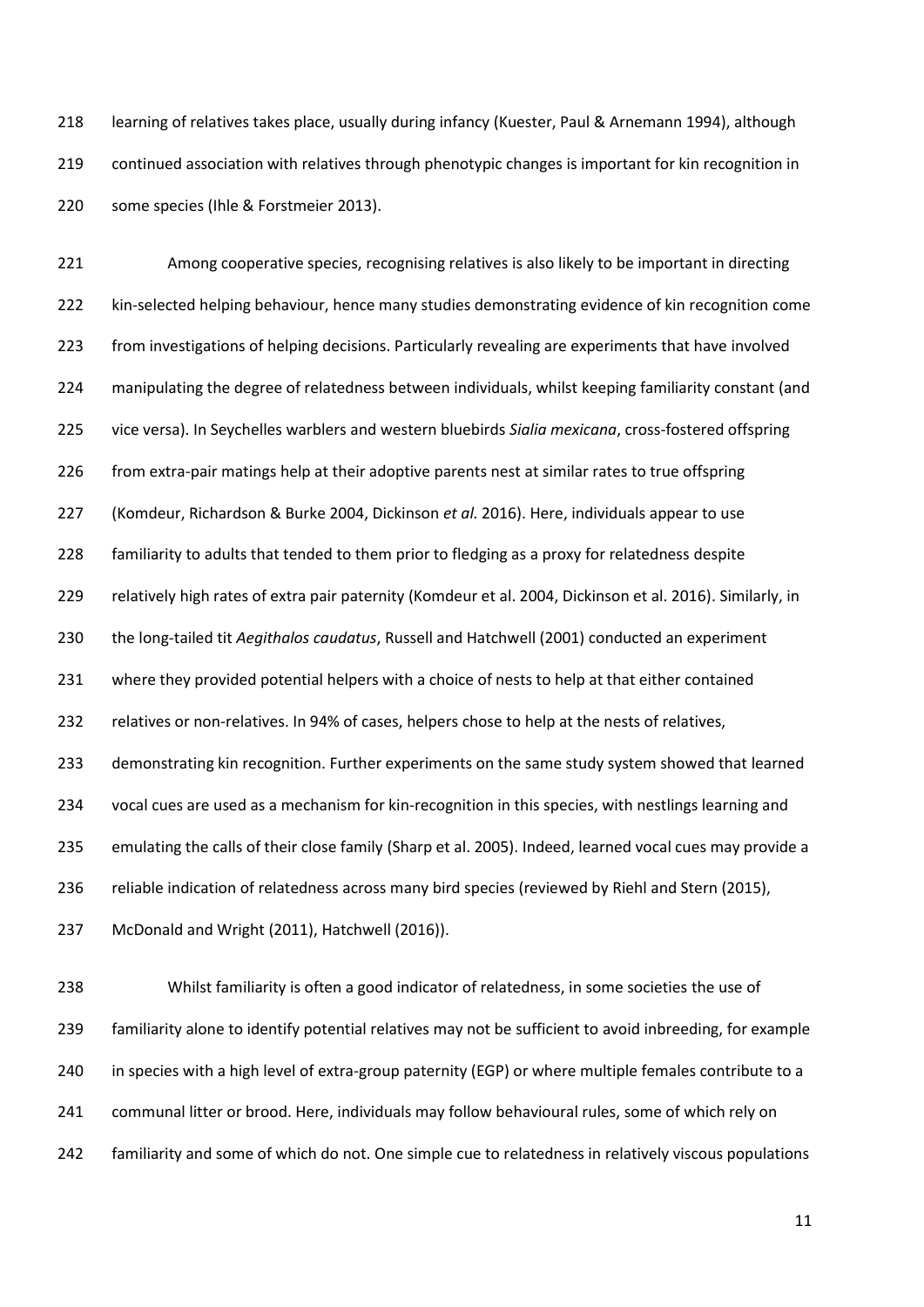learning of relatives takes place, usually during infancy (Kuester, Paul & Arnemann 1994), although continued association with relatives through phenotypic changes is important for kin recognition in some species (Ihle & Forstmeier 2013).

 Among cooperative species, recognising relatives is also likely to be important in directing kin-selected helping behaviour, hence many studies demonstrating evidence of kin recognition come from investigations of helping decisions. Particularly revealing are experiments that have involved manipulating the degree of relatedness between individuals, whilst keeping familiarity constant (and vice versa). In Seychelles warblers and western bluebirds *Sialia mexicana*, cross-fostered offspring 226 from extra-pair matings help at their adoptive parents nest at similar rates to true offspring (Komdeur, Richardson & Burke 2004, Dickinson *et al.* 2016). Here, individuals appear to use familiarity to adults that tended to them prior to fledging as a proxy for relatedness despite relatively high rates of extra pair paternity (Komdeur et al. 2004, Dickinson et al. 2016). Similarly, in the long-tailed tit *Aegithalos caudatus*, Russell and Hatchwell (2001) conducted an experiment where they provided potential helpers with a choice of nests to help at that either contained relatives or non-relatives. In 94% of cases, helpers chose to help at the nests of relatives, demonstrating kin recognition. Further experiments on the same study system showed that learned vocal cues are used as a mechanism for kin-recognition in this species, with nestlings learning and emulating the calls of their close family (Sharp et al. 2005). Indeed, learned vocal cues may provide a reliable indication of relatedness across many bird species (reviewed by Riehl and Stern (2015), McDonald and Wright (2011), Hatchwell (2016)).

 Whilst familiarity is often a good indicator of relatedness, in some societies the use of familiarity alone to identify potential relatives may not be sufficient to avoid inbreeding, for example in species with a high level of extra-group paternity (EGP) or where multiple females contribute to a communal litter or brood. Here, individuals may follow behavioural rules, some of which rely on familiarity and some of which do not. One simple cue to relatedness in relatively viscous populations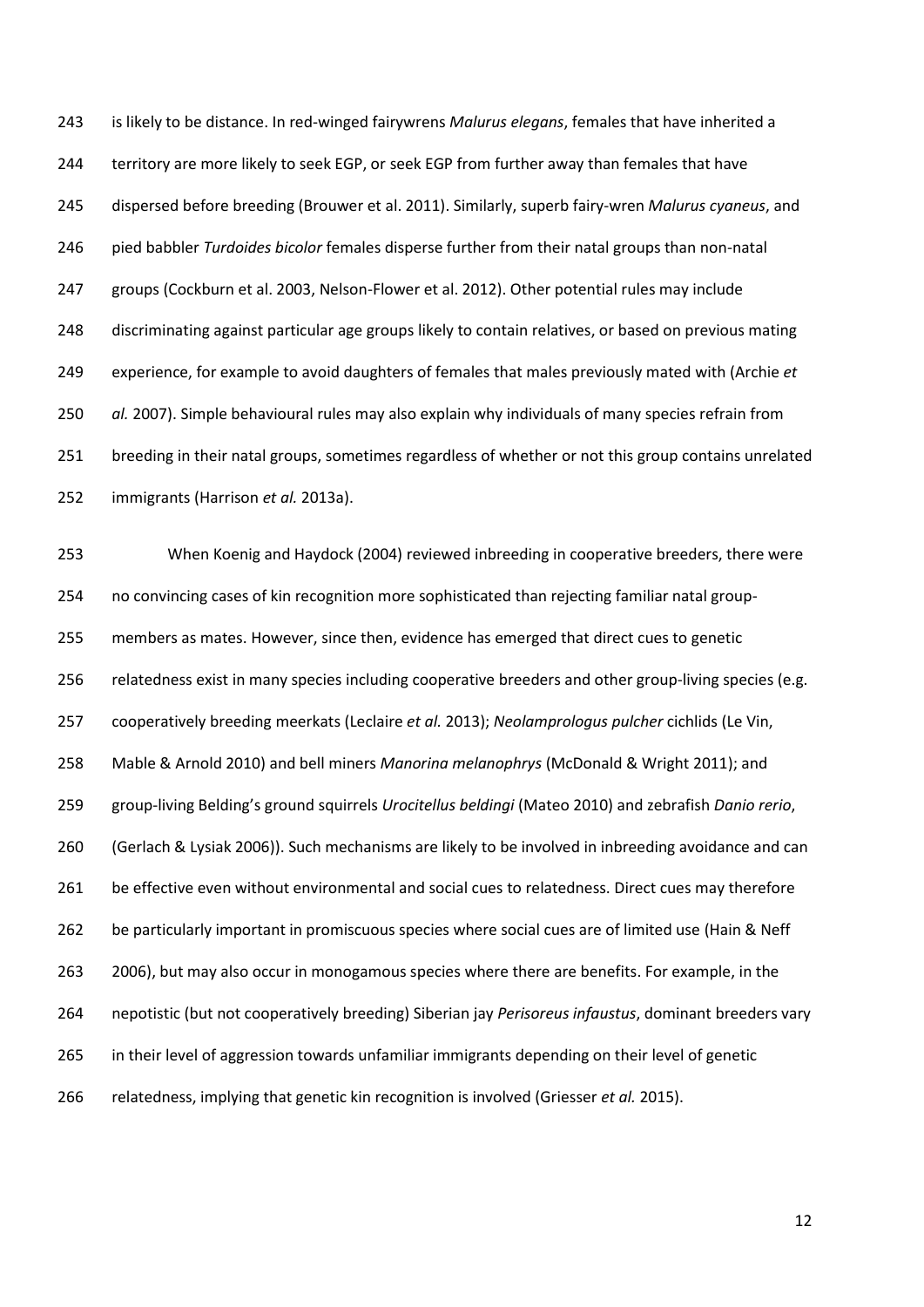is likely to be distance. In red-winged fairywrens *Malurus elegans*, females that have inherited a territory are more likely to seek EGP, or seek EGP from further away than females that have dispersed before breeding (Brouwer et al. 2011). Similarly, superb fairy-wren *Malurus cyaneus*, and pied babbler *Turdoides bicolor* females disperse further from their natal groups than non-natal groups (Cockburn et al. 2003, Nelson-Flower et al. 2012). Other potential rules may include discriminating against particular age groups likely to contain relatives, or based on previous mating experience, for example to avoid daughters of females that males previously mated with (Archie *et al.* 2007). Simple behavioural rules may also explain why individuals of many species refrain from breeding in their natal groups, sometimes regardless of whether or not this group contains unrelated immigrants (Harrison *et al.* 2013a).

 When Koenig and Haydock (2004) reviewed inbreeding in cooperative breeders, there were no convincing cases of kin recognition more sophisticated than rejecting familiar natal group- members as mates. However, since then, evidence has emerged that direct cues to genetic 256 relatedness exist in many species including cooperative breeders and other group-living species (e.g. cooperatively breeding meerkats (Leclaire *et al.* 2013); *Neolamprologus pulcher* cichlids (Le Vin, Mable & Arnold 2010) and bell miners *Manorina melanophrys* (McDonald & Wright 2011); and group-living Belding's ground squirrels *Urocitellus beldingi* (Mateo 2010) and zebrafish *Danio rerio*, (Gerlach & Lysiak 2006)). Such mechanisms are likely to be involved in inbreeding avoidance and can 261 be effective even without environmental and social cues to relatedness. Direct cues may therefore be particularly important in promiscuous species where social cues are of limited use (Hain & Neff 2006), but may also occur in monogamous species where there are benefits. For example, in the nepotistic (but not cooperatively breeding) Siberian jay *Perisoreus infaustus*, dominant breeders vary in their level of aggression towards unfamiliar immigrants depending on their level of genetic relatedness, implying that genetic kin recognition is involved (Griesser *et al.* 2015).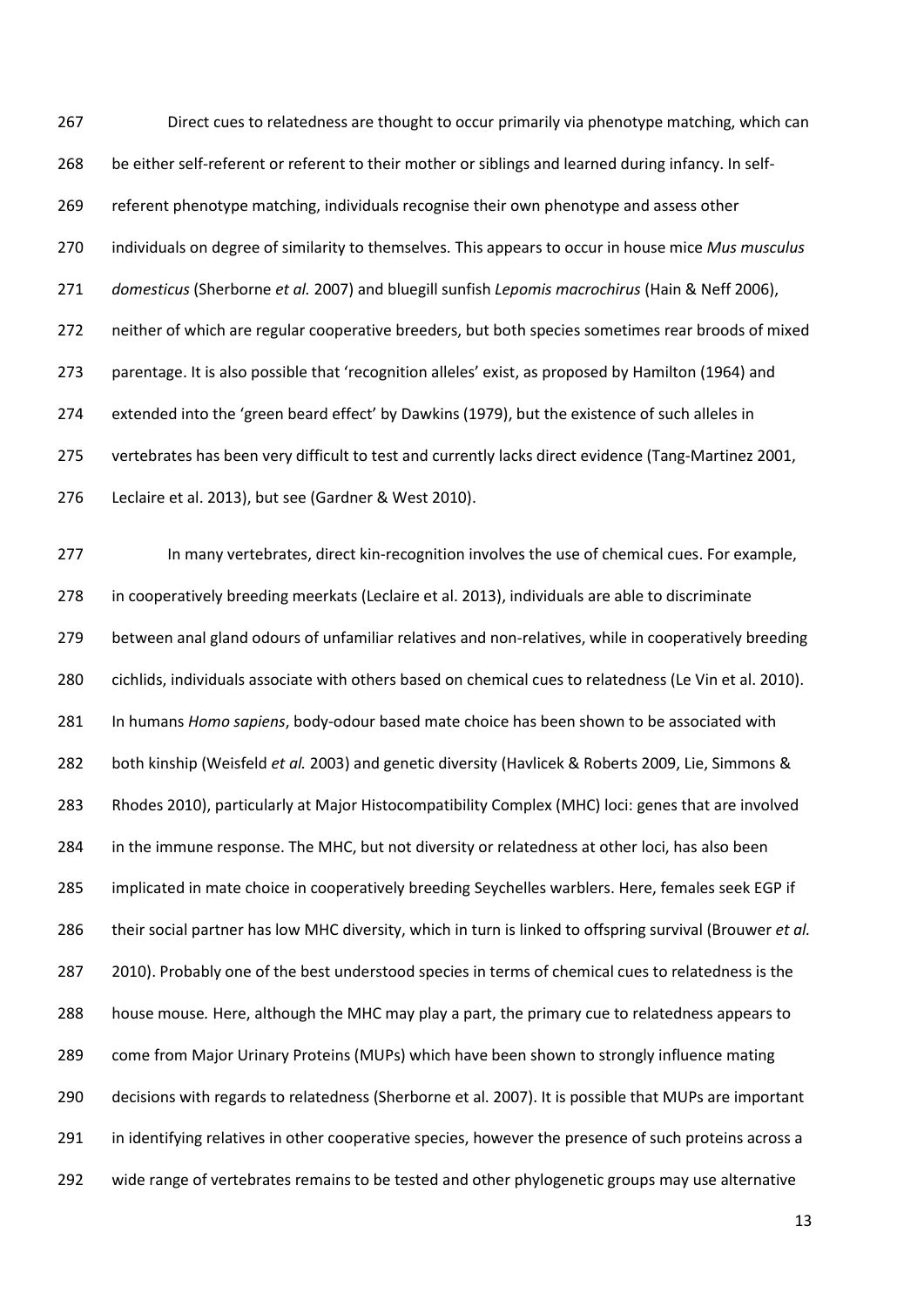Direct cues to relatedness are thought to occur primarily via phenotype matching, which can be either self-referent or referent to their mother or siblings and learned during infancy. In self- referent phenotype matching, individuals recognise their own phenotype and assess other individuals on degree of similarity to themselves. This appears to occur in house mice *Mus musculus domesticus* (Sherborne *et al.* 2007) and bluegill sunfish *Lepomis macrochirus* (Hain & Neff 2006), neither of which are regular cooperative breeders, but both species sometimes rear broods of mixed parentage. It is also possible that 'recognition alleles' exist, as proposed by Hamilton (1964) and extended into the 'green beard effect' by Dawkins (1979), but the existence of such alleles in vertebrates has been very difficult to test and currently lacks direct evidence (Tang-Martinez 2001, Leclaire et al. 2013), but see (Gardner & West 2010).

 In many vertebrates, direct kin-recognition involves the use of chemical cues. For example, in cooperatively breeding meerkats (Leclaire et al. 2013), individuals are able to discriminate between anal gland odours of unfamiliar relatives and non-relatives, while in cooperatively breeding cichlids, individuals associate with others based on chemical cues to relatedness (Le Vin et al. 2010). In humans *Homo sapiens*, body-odour based mate choice has been shown to be associated with both kinship (Weisfeld *et al.* 2003) and genetic diversity (Havlicek & Roberts 2009, Lie, Simmons & Rhodes 2010), particularly at Major Histocompatibility Complex (MHC) loci: genes that are involved 284 in the immune response. The MHC, but not diversity or relatedness at other loci, has also been implicated in mate choice in cooperatively breeding Seychelles warblers. Here, females seek EGP if their social partner has low MHC diversity, which in turn is linked to offspring survival (Brouwer *et al.* 2010). Probably one of the best understood species in terms of chemical cues to relatedness is the house mouse*.* Here, although the MHC may play a part, the primary cue to relatedness appears to come from Major Urinary Proteins (MUPs) which have been shown to strongly influence mating decisions with regards to relatedness (Sherborne et al. 2007). It is possible that MUPs are important 291 in identifying relatives in other cooperative species, however the presence of such proteins across a wide range of vertebrates remains to be tested and other phylogenetic groups may use alternative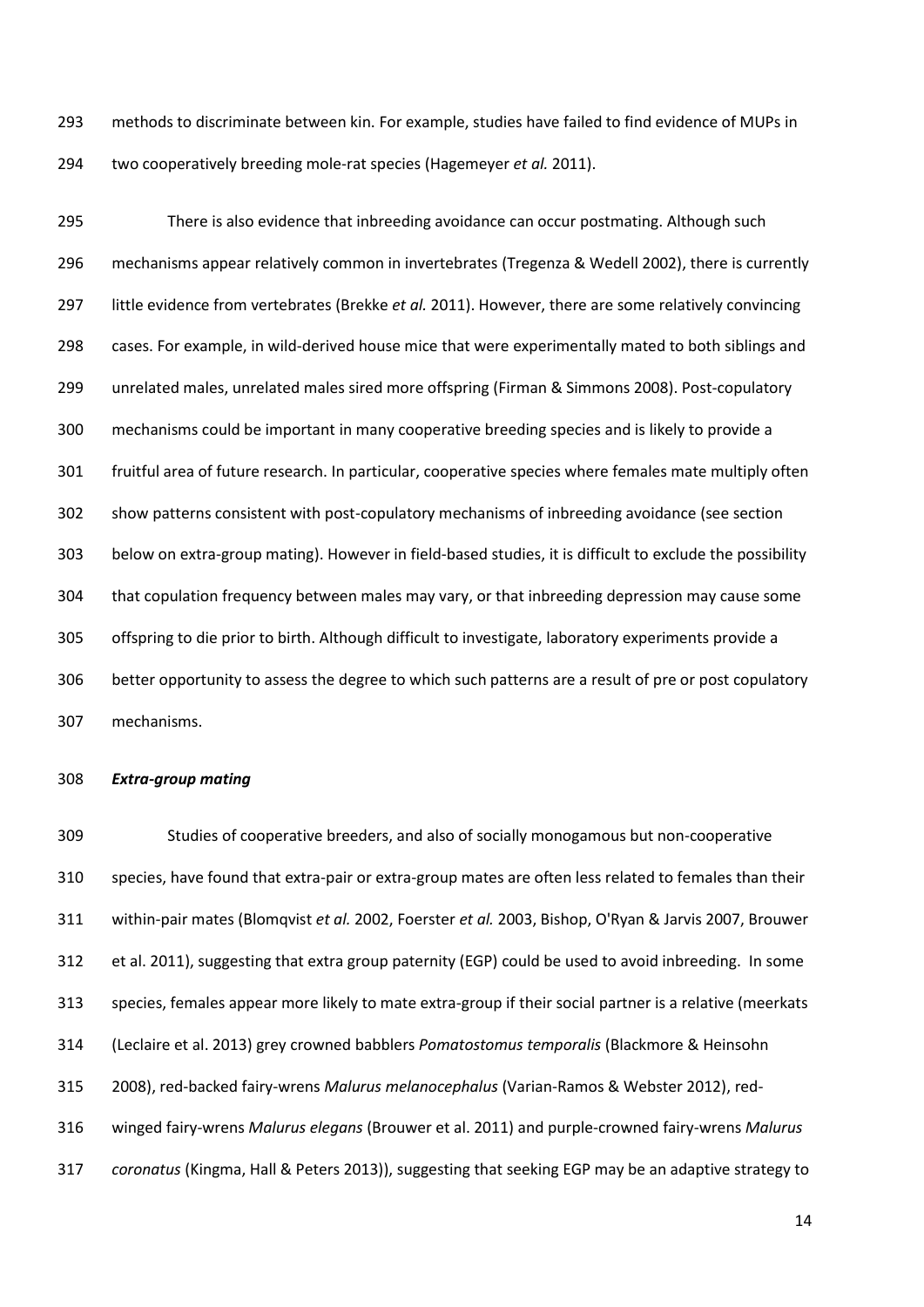methods to discriminate between kin. For example, studies have failed to find evidence of MUPs in two cooperatively breeding mole-rat species (Hagemeyer *et al.* 2011).

 There is also evidence that inbreeding avoidance can occur postmating. Although such mechanisms appear relatively common in invertebrates (Tregenza & Wedell 2002), there is currently little evidence from vertebrates (Brekke *et al.* 2011). However, there are some relatively convincing cases. For example, in wild-derived house mice that were experimentally mated to both siblings and unrelated males, unrelated males sired more offspring (Firman & Simmons 2008). Post-copulatory mechanisms could be important in many cooperative breeding species and is likely to provide a fruitful area of future research. In particular, cooperative species where females mate multiply often show patterns consistent with post-copulatory mechanisms of inbreeding avoidance (see section below on extra-group mating). However in field-based studies, it is difficult to exclude the possibility that copulation frequency between males may vary, or that inbreeding depression may cause some offspring to die prior to birth. Although difficult to investigate, laboratory experiments provide a better opportunity to assess the degree to which such patterns are a result of pre or post copulatory mechanisms.

#### *Extra-group mating*

 Studies of cooperative breeders, and also of socially monogamous but non-cooperative species, have found that extra-pair or extra-group mates are often less related to females than their within-pair mates (Blomqvist *et al.* 2002, Foerster *et al.* 2003, Bishop, O'Ryan & Jarvis 2007, Brouwer et al. 2011), suggesting that extra group paternity (EGP) could be used to avoid inbreeding. In some species, females appear more likely to mate extra-group if their social partner is a relative (meerkats (Leclaire et al. 2013) grey crowned babblers *Pomatostomus temporalis* (Blackmore & Heinsohn 2008), red-backed fairy-wrens *Malurus melanocephalus* (Varian-Ramos & Webster 2012), red- winged fairy-wrens *Malurus elegans* (Brouwer et al. 2011) and purple-crowned fairy-wrens *Malurus coronatus* (Kingma, Hall & Peters 2013)), suggesting that seeking EGP may be an adaptive strategy to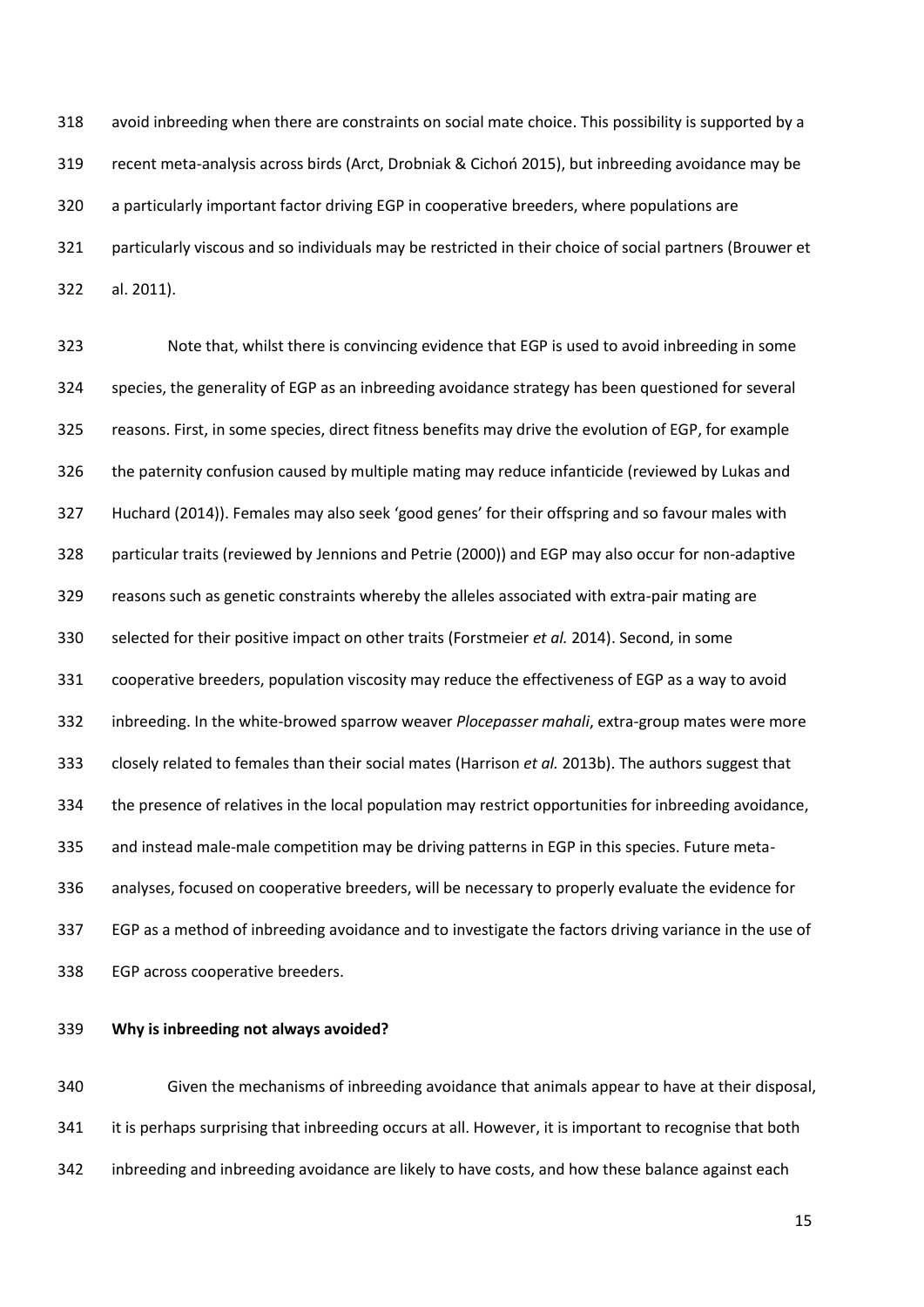avoid inbreeding when there are constraints on social mate choice. This possibility is supported by a recent meta-analysis across birds (Arct, Drobniak & Cichoń 2015), but inbreeding avoidance may be a particularly important factor driving EGP in cooperative breeders, where populations are particularly viscous and so individuals may be restricted in their choice of social partners (Brouwer et al. 2011).

 Note that, whilst there is convincing evidence that EGP is used to avoid inbreeding in some species, the generality of EGP as an inbreeding avoidance strategy has been questioned for several reasons. First, in some species, direct fitness benefits may drive the evolution of EGP, for example the paternity confusion caused by multiple mating may reduce infanticide (reviewed by Lukas and Huchard (2014)). Females may also seek 'good genes' for their offspring and so favour males with particular traits (reviewed by Jennions and Petrie (2000)) and EGP may also occur for non-adaptive reasons such as genetic constraints whereby the alleles associated with extra-pair mating are selected for their positive impact on other traits (Forstmeier *et al.* 2014). Second, in some cooperative breeders, population viscosity may reduce the effectiveness of EGP as a way to avoid inbreeding. In the white-browed sparrow weaver *Plocepasser mahali*, extra-group mates were more closely related to females than their social mates (Harrison *et al.* 2013b). The authors suggest that the presence of relatives in the local population may restrict opportunities for inbreeding avoidance, and instead male-male competition may be driving patterns in EGP in this species. Future meta- analyses, focused on cooperative breeders, will be necessary to properly evaluate the evidence for EGP as a method of inbreeding avoidance and to investigate the factors driving variance in the use of EGP across cooperative breeders.

**Why is inbreeding not always avoided?**

 Given the mechanisms of inbreeding avoidance that animals appear to have at their disposal, 341 it is perhaps surprising that inbreeding occurs at all. However, it is important to recognise that both inbreeding and inbreeding avoidance are likely to have costs, and how these balance against each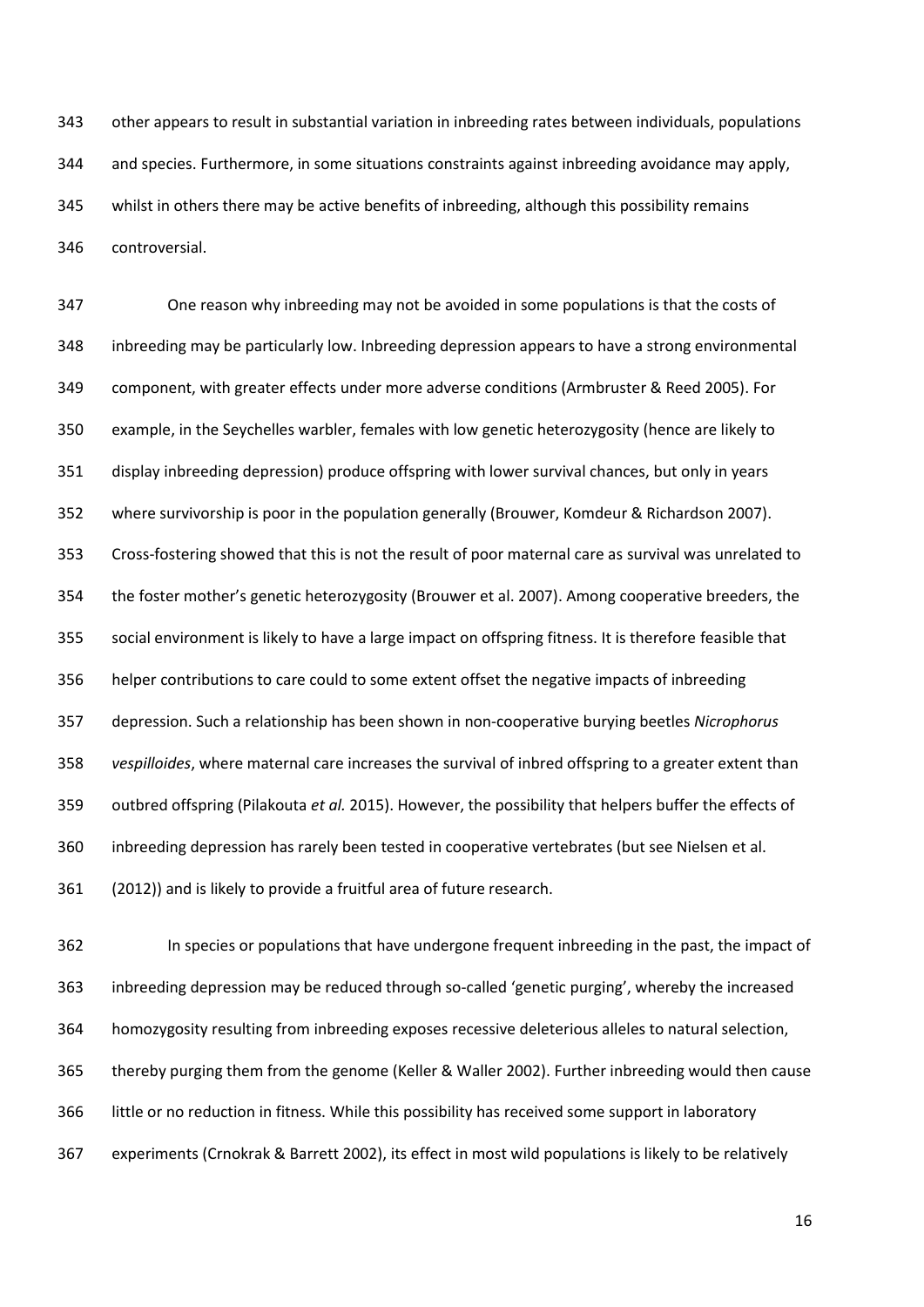other appears to result in substantial variation in inbreeding rates between individuals, populations and species. Furthermore, in some situations constraints against inbreeding avoidance may apply, whilst in others there may be active benefits of inbreeding, although this possibility remains controversial.

 One reason why inbreeding may not be avoided in some populations is that the costs of inbreeding may be particularly low. Inbreeding depression appears to have a strong environmental component, with greater effects under more adverse conditions (Armbruster & Reed 2005). For example, in the Seychelles warbler, females with low genetic heterozygosity (hence are likely to display inbreeding depression) produce offspring with lower survival chances, but only in years where survivorship is poor in the population generally (Brouwer, Komdeur & Richardson 2007). Cross-fostering showed that this is not the result of poor maternal care as survival was unrelated to the foster mother's genetic heterozygosity (Brouwer et al. 2007). Among cooperative breeders, the social environment is likely to have a large impact on offspring fitness. It is therefore feasible that helper contributions to care could to some extent offset the negative impacts of inbreeding depression. Such a relationship has been shown in non-cooperative burying beetles *Nicrophorus vespilloides*, where maternal care increases the survival of inbred offspring to a greater extent than outbred offspring (Pilakouta *et al.* 2015). However, the possibility that helpers buffer the effects of inbreeding depression has rarely been tested in cooperative vertebrates (but see Nielsen et al. (2012)) and is likely to provide a fruitful area of future research.

 In species or populations that have undergone frequent inbreeding in the past, the impact of inbreeding depression may be reduced through so-called 'genetic purging', whereby the increased homozygosity resulting from inbreeding exposes recessive deleterious alleles to natural selection, thereby purging them from the genome (Keller & Waller 2002). Further inbreeding would then cause little or no reduction in fitness. While this possibility has received some support in laboratory experiments (Crnokrak & Barrett 2002), its effect in most wild populations is likely to be relatively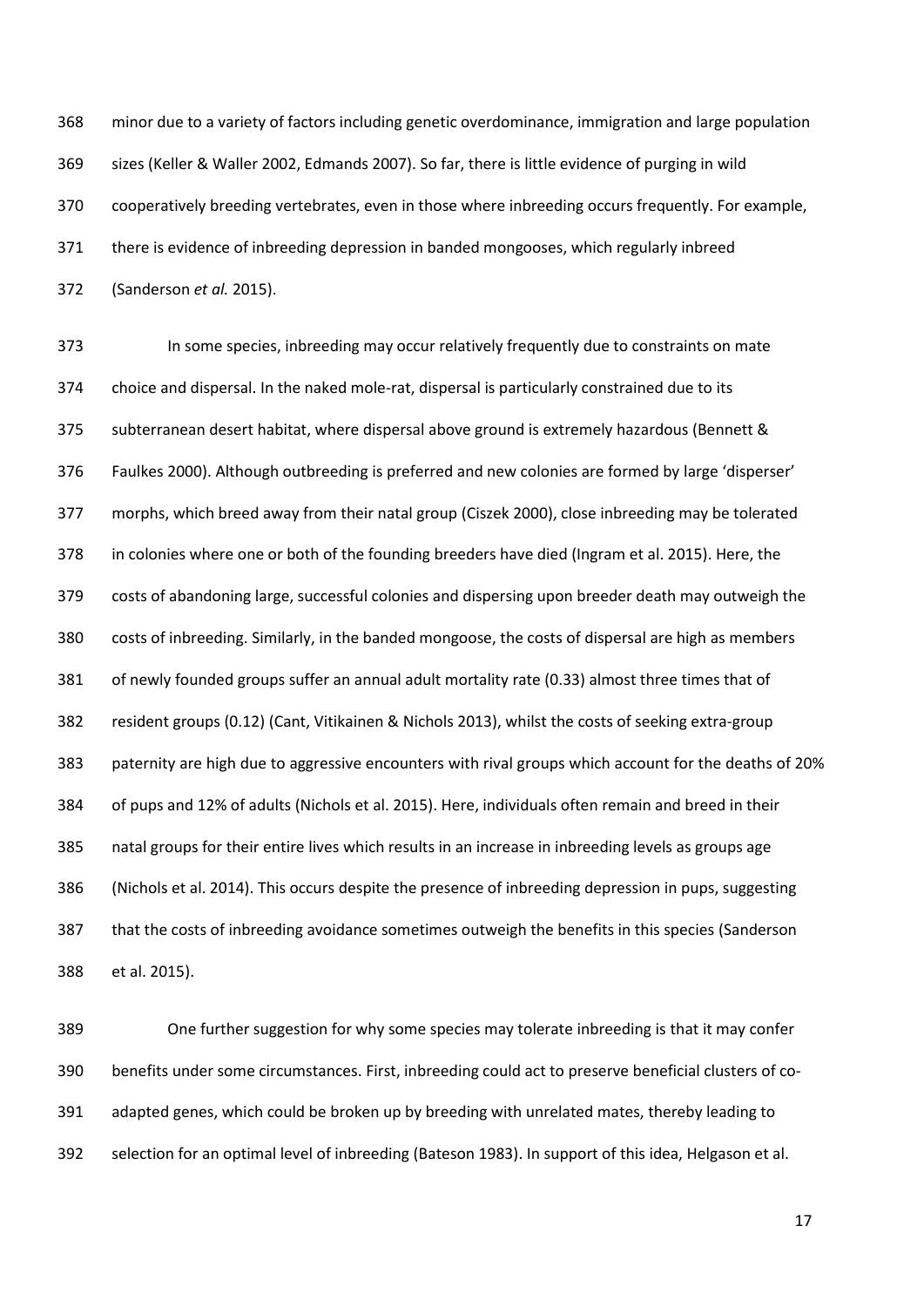minor due to a variety of factors including genetic overdominance, immigration and large population sizes (Keller & Waller 2002, Edmands 2007). So far, there is little evidence of purging in wild cooperatively breeding vertebrates, even in those where inbreeding occurs frequently. For example, there is evidence of inbreeding depression in banded mongooses, which regularly inbreed (Sanderson *et al.* 2015).

 In some species, inbreeding may occur relatively frequently due to constraints on mate choice and dispersal. In the naked mole-rat, dispersal is particularly constrained due to its subterranean desert habitat, where dispersal above ground is extremely hazardous (Bennett & Faulkes 2000). Although outbreeding is preferred and new colonies are formed by large 'disperser' morphs, which breed away from their natal group (Ciszek 2000), close inbreeding may be tolerated in colonies where one or both of the founding breeders have died (Ingram et al. 2015). Here, the costs of abandoning large, successful colonies and dispersing upon breeder death may outweigh the costs of inbreeding. Similarly, in the banded mongoose, the costs of dispersal are high as members of newly founded groups suffer an annual adult mortality rate (0.33) almost three times that of resident groups (0.12) (Cant, Vitikainen & Nichols 2013), whilst the costs of seeking extra-group paternity are high due to aggressive encounters with rival groups which account for the deaths of 20% of pups and 12% of adults (Nichols et al. 2015). Here, individuals often remain and breed in their natal groups for their entire lives which results in an increase in inbreeding levels as groups age (Nichols et al. 2014). This occurs despite the presence of inbreeding depression in pups, suggesting that the costs of inbreeding avoidance sometimes outweigh the benefits in this species (Sanderson et al. 2015).

 One further suggestion for why some species may tolerate inbreeding is that it may confer benefits under some circumstances. First, inbreeding could act to preserve beneficial clusters of co- adapted genes, which could be broken up by breeding with unrelated mates, thereby leading to selection for an optimal level of inbreeding (Bateson 1983). In support of this idea, Helgason et al.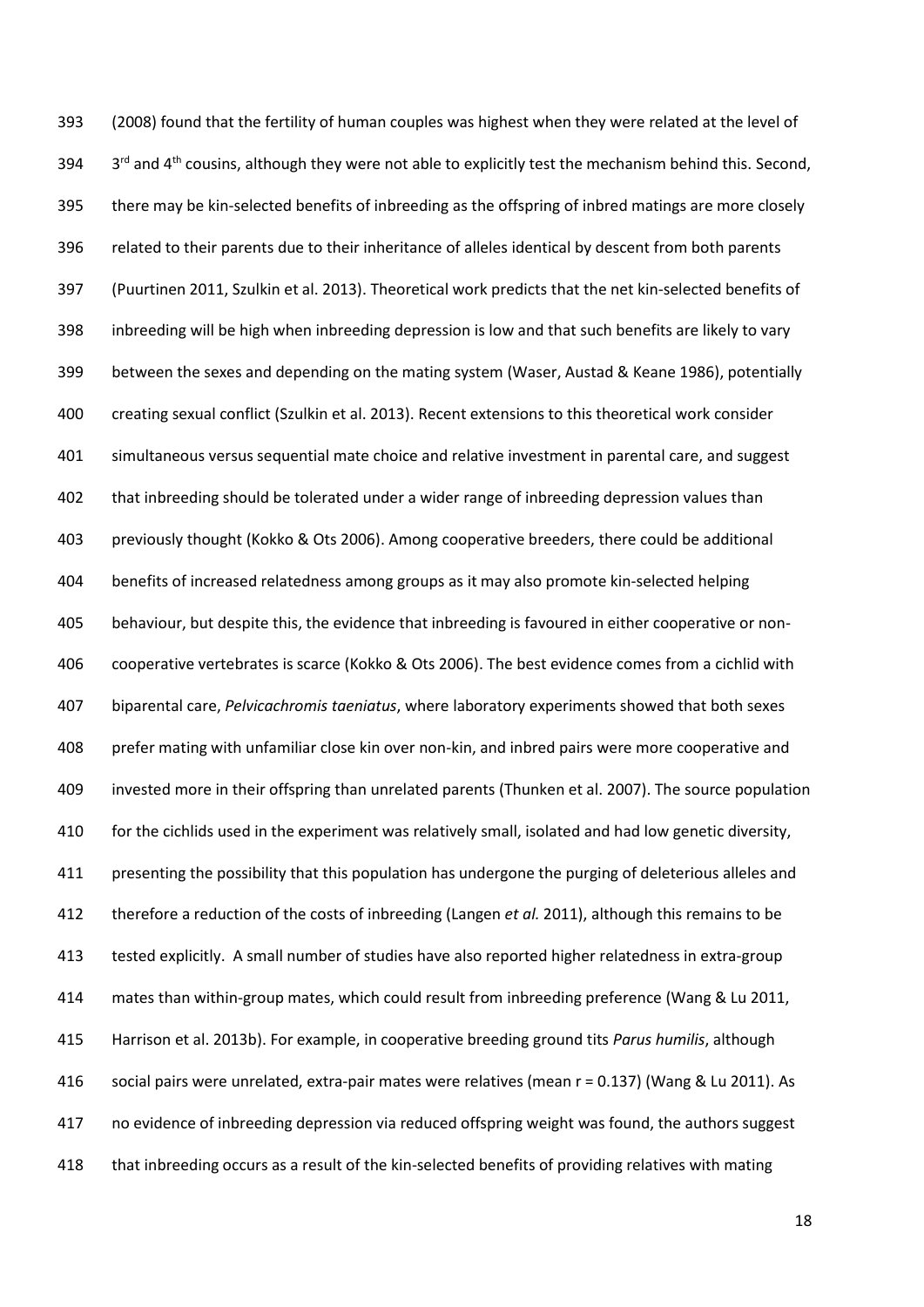(2008) found that the fertility of human couples was highest when they were related at the level of  $3^{rd}$  and 4<sup>th</sup> cousins, although they were not able to explicitly test the mechanism behind this. Second, there may be kin-selected benefits of inbreeding as the offspring of inbred matings are more closely related to their parents due to their inheritance of alleles identical by descent from both parents (Puurtinen 2011, Szulkin et al. 2013). Theoretical work predicts that the net kin-selected benefits of inbreeding will be high when inbreeding depression is low and that such benefits are likely to vary between the sexes and depending on the mating system (Waser, Austad & Keane 1986), potentially creating sexual conflict (Szulkin et al. 2013). Recent extensions to this theoretical work consider simultaneous versus sequential mate choice and relative investment in parental care, and suggest 402 that inbreeding should be tolerated under a wider range of inbreeding depression values than previously thought (Kokko & Ots 2006). Among cooperative breeders, there could be additional benefits of increased relatedness among groups as it may also promote kin-selected helping behaviour, but despite this, the evidence that inbreeding is favoured in either cooperative or non- cooperative vertebrates is scarce (Kokko & Ots 2006). The best evidence comes from a cichlid with biparental care, *Pelvicachromis taeniatus*, where laboratory experiments showed that both sexes prefer mating with unfamiliar close kin over non-kin, and inbred pairs were more cooperative and invested more in their offspring than unrelated parents (Thunken et al. 2007). The source population for the cichlids used in the experiment was relatively small, isolated and had low genetic diversity, 411 presenting the possibility that this population has undergone the purging of deleterious alleles and therefore a reduction of the costs of inbreeding (Langen *et al.* 2011), although this remains to be tested explicitly. A small number of studies have also reported higher relatedness in extra-group mates than within-group mates, which could result from inbreeding preference (Wang & Lu 2011, Harrison et al. 2013b). For example, in cooperative breeding ground tits *Parus humilis*, although social pairs were unrelated, extra-pair mates were relatives (mean r = 0.137) (Wang & Lu 2011). As no evidence of inbreeding depression via reduced offspring weight was found, the authors suggest that inbreeding occurs as a result of the kin-selected benefits of providing relatives with mating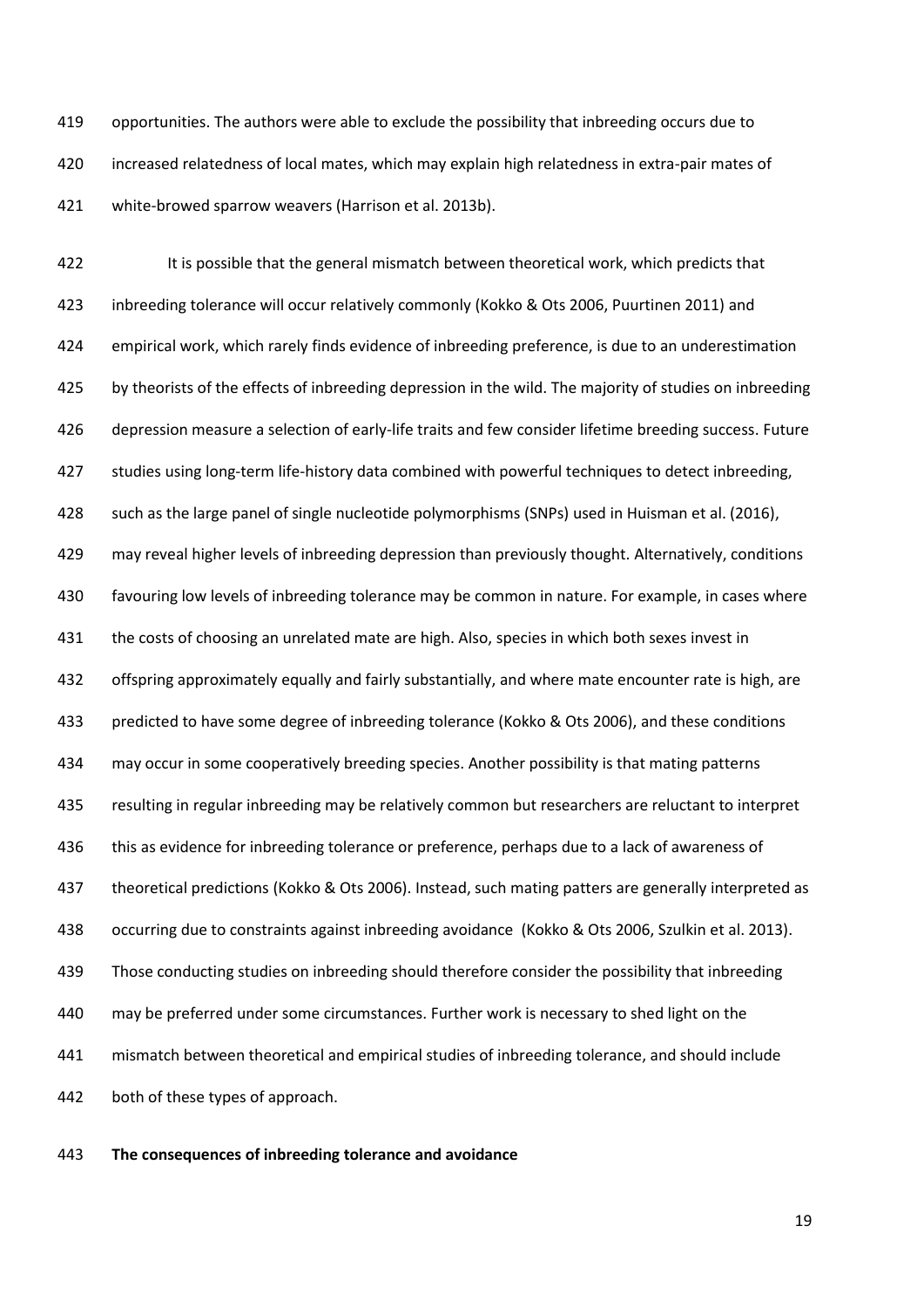opportunities. The authors were able to exclude the possibility that inbreeding occurs due to increased relatedness of local mates, which may explain high relatedness in extra-pair mates of white-browed sparrow weavers (Harrison et al. 2013b).

422 It is possible that the general mismatch between theoretical work, which predicts that inbreeding tolerance will occur relatively commonly (Kokko & Ots 2006, Puurtinen 2011) and empirical work, which rarely finds evidence of inbreeding preference, is due to an underestimation 425 by theorists of the effects of inbreeding depression in the wild. The majority of studies on inbreeding depression measure a selection of early-life traits and few consider lifetime breeding success. Future studies using long-term life-history data combined with powerful techniques to detect inbreeding, such as the large panel of single nucleotide polymorphisms (SNPs) used in Huisman et al. (2016), may reveal higher levels of inbreeding depression than previously thought. Alternatively, conditions favouring low levels of inbreeding tolerance may be common in nature. For example, in cases where 431 the costs of choosing an unrelated mate are high. Also, species in which both sexes invest in offspring approximately equally and fairly substantially, and where mate encounter rate is high, are predicted to have some degree of inbreeding tolerance (Kokko & Ots 2006), and these conditions may occur in some cooperatively breeding species. Another possibility is that mating patterns resulting in regular inbreeding may be relatively common but researchers are reluctant to interpret 436 this as evidence for inbreeding tolerance or preference, perhaps due to a lack of awareness of theoretical predictions (Kokko & Ots 2006). Instead, such mating patters are generally interpreted as occurring due to constraints against inbreeding avoidance (Kokko & Ots 2006, Szulkin et al. 2013). Those conducting studies on inbreeding should therefore consider the possibility that inbreeding may be preferred under some circumstances. Further work is necessary to shed light on the mismatch between theoretical and empirical studies of inbreeding tolerance, and should include both of these types of approach.

### **The consequences of inbreeding tolerance and avoidance**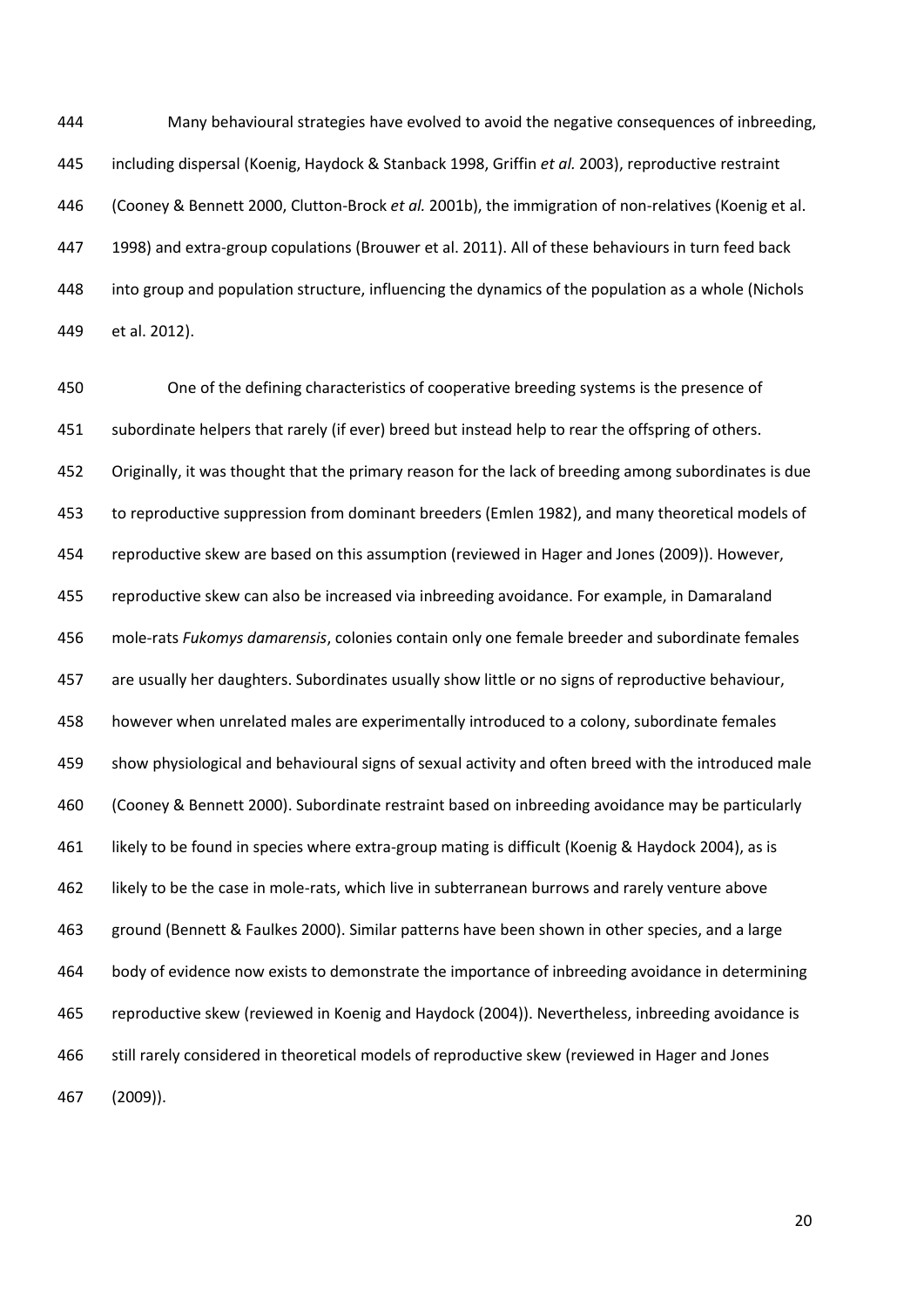Many behavioural strategies have evolved to avoid the negative consequences of inbreeding, including dispersal (Koenig, Haydock & Stanback 1998, Griffin *et al.* 2003), reproductive restraint (Cooney & Bennett 2000, Clutton-Brock *et al.* 2001b), the immigration of non-relatives (Koenig et al. 1998) and extra-group copulations (Brouwer et al. 2011). All of these behaviours in turn feed back into group and population structure, influencing the dynamics of the population as a whole (Nichols et al. 2012).

 One of the defining characteristics of cooperative breeding systems is the presence of subordinate helpers that rarely (if ever) breed but instead help to rear the offspring of others. Originally, it was thought that the primary reason for the lack of breeding among subordinates is due to reproductive suppression from dominant breeders (Emlen 1982), and many theoretical models of reproductive skew are based on this assumption (reviewed in Hager and Jones (2009)). However, reproductive skew can also be increased via inbreeding avoidance. For example, in Damaraland mole-rats *Fukomys damarensis*, colonies contain only one female breeder and subordinate females are usually her daughters. Subordinates usually show little or no signs of reproductive behaviour, however when unrelated males are experimentally introduced to a colony, subordinate females show physiological and behavioural signs of sexual activity and often breed with the introduced male (Cooney & Bennett 2000). Subordinate restraint based on inbreeding avoidance may be particularly likely to be found in species where extra-group mating is difficult (Koenig & Haydock 2004), as is likely to be the case in mole-rats, which live in subterranean burrows and rarely venture above ground (Bennett & Faulkes 2000). Similar patterns have been shown in other species, and a large body of evidence now exists to demonstrate the importance of inbreeding avoidance in determining reproductive skew (reviewed in Koenig and Haydock (2004)). Nevertheless, inbreeding avoidance is still rarely considered in theoretical models of reproductive skew (reviewed in Hager and Jones (2009)).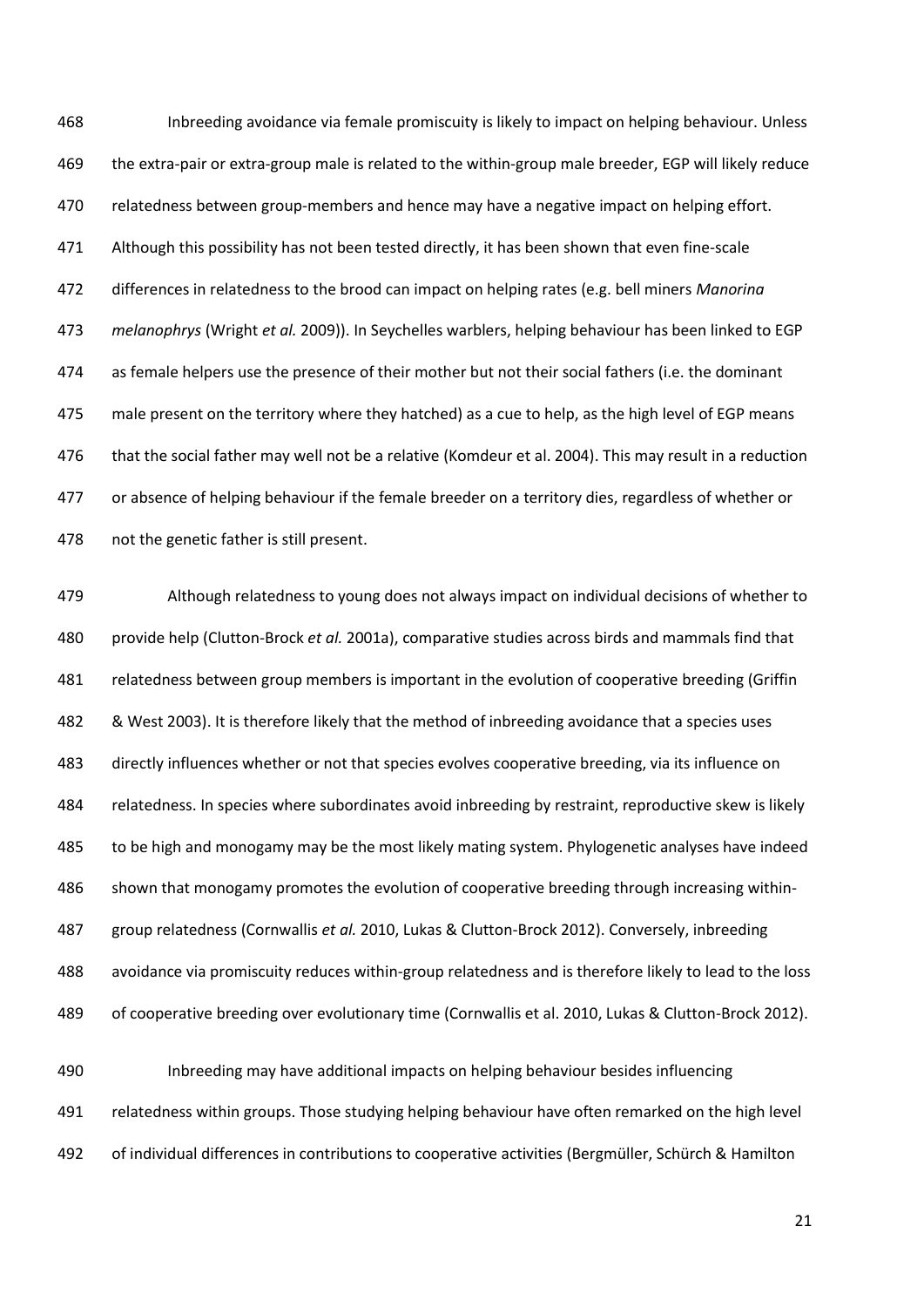Inbreeding avoidance via female promiscuity is likely to impact on helping behaviour. Unless the extra-pair or extra-group male is related to the within-group male breeder, EGP will likely reduce 470 relatedness between group-members and hence may have a negative impact on helping effort. 471 Although this possibility has not been tested directly, it has been shown that even fine-scale differences in relatedness to the brood can impact on helping rates (e.g. bell miners *Manorina melanophrys* (Wright *et al.* 2009)). In Seychelles warblers, helping behaviour has been linked to EGP as female helpers use the presence of their mother but not their social fathers (i.e. the dominant male present on the territory where they hatched) as a cue to help, as the high level of EGP means that the social father may well not be a relative (Komdeur et al. 2004). This may result in a reduction or absence of helping behaviour if the female breeder on a territory dies, regardless of whether or not the genetic father is still present.

 Although relatedness to young does not always impact on individual decisions of whether to provide help (Clutton-Brock *et al.* 2001a), comparative studies across birds and mammals find that relatedness between group members is important in the evolution of cooperative breeding (Griffin & West 2003). It is therefore likely that the method of inbreeding avoidance that a species uses directly influences whether or not that species evolves cooperative breeding, via its influence on relatedness. In species where subordinates avoid inbreeding by restraint, reproductive skew is likely 485 to be high and monogamy may be the most likely mating system. Phylogenetic analyses have indeed shown that monogamy promotes the evolution of cooperative breeding through increasing within- group relatedness (Cornwallis *et al.* 2010, Lukas & Clutton-Brock 2012). Conversely, inbreeding avoidance via promiscuity reduces within-group relatedness and is therefore likely to lead to the loss of cooperative breeding over evolutionary time (Cornwallis et al. 2010, Lukas & Clutton-Brock 2012). Inbreeding may have additional impacts on helping behaviour besides influencing

relatedness within groups. Those studying helping behaviour have often remarked on the high level

of individual differences in contributions to cooperative activities (Bergmüller, Schürch & Hamilton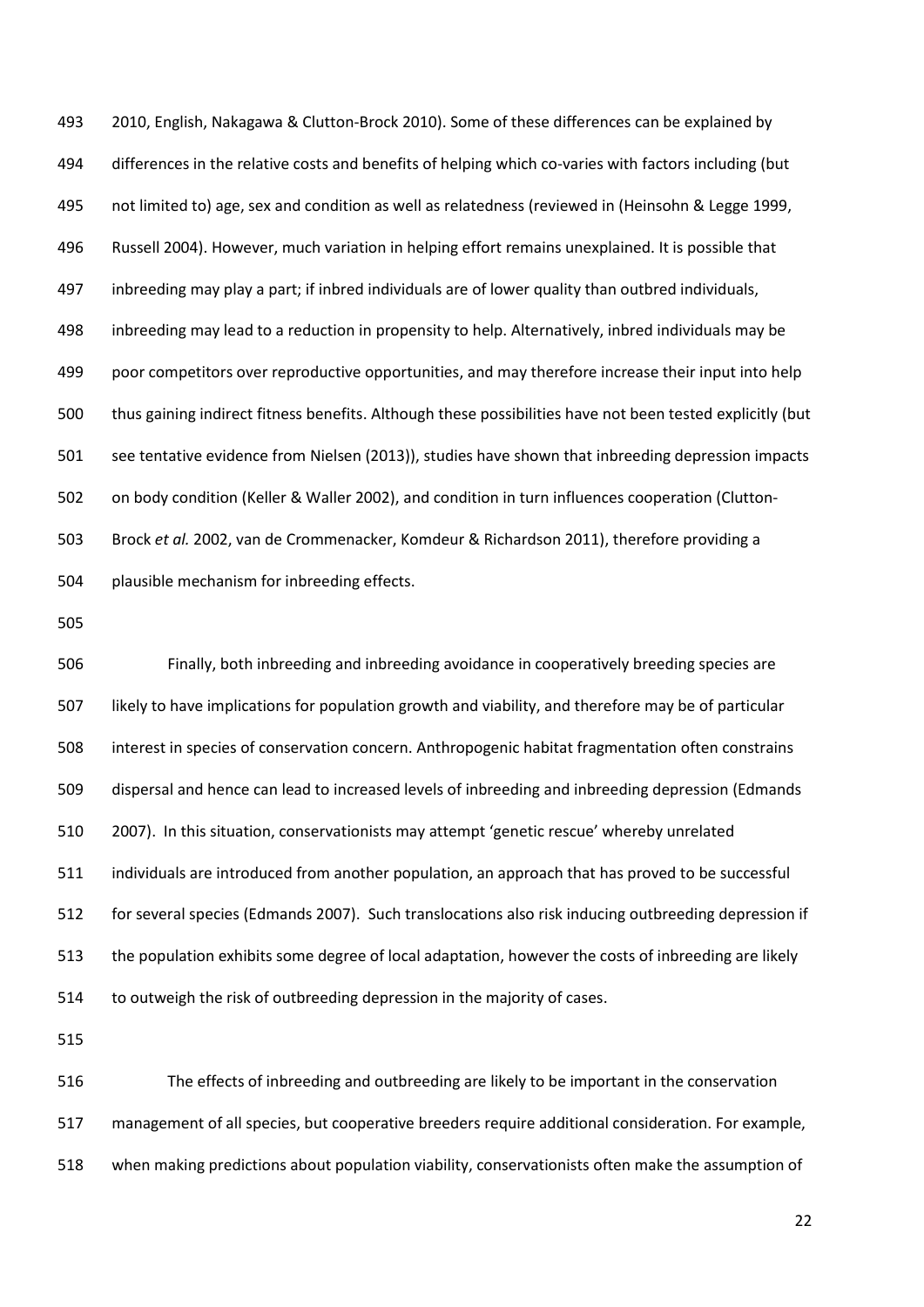2010, English, Nakagawa & Clutton-Brock 2010). Some of these differences can be explained by differences in the relative costs and benefits of helping which co-varies with factors including (but not limited to) age, sex and condition as well as relatedness (reviewed in (Heinsohn & Legge 1999, Russell 2004). However, much variation in helping effort remains unexplained. It is possible that inbreeding may play a part; if inbred individuals are of lower quality than outbred individuals, inbreeding may lead to a reduction in propensity to help. Alternatively, inbred individuals may be poor competitors over reproductive opportunities, and may therefore increase their input into help thus gaining indirect fitness benefits. Although these possibilities have not been tested explicitly (but see tentative evidence from Nielsen (2013)), studies have shown that inbreeding depression impacts on body condition (Keller & Waller 2002), and condition in turn influences cooperation (Clutton- Brock *et al.* 2002, van de Crommenacker, Komdeur & Richardson 2011), therefore providing a plausible mechanism for inbreeding effects.

 Finally, both inbreeding and inbreeding avoidance in cooperatively breeding species are likely to have implications for population growth and viability, and therefore may be of particular interest in species of conservation concern. Anthropogenic habitat fragmentation often constrains dispersal and hence can lead to increased levels of inbreeding and inbreeding depression (Edmands 2007). In this situation, conservationists may attempt 'genetic rescue' whereby unrelated individuals are introduced from another population, an approach that has proved to be successful for several species (Edmands 2007). Such translocations also risk inducing outbreeding depression if the population exhibits some degree of local adaptation, however the costs of inbreeding are likely to outweigh the risk of outbreeding depression in the majority of cases.

 The effects of inbreeding and outbreeding are likely to be important in the conservation management of all species, but cooperative breeders require additional consideration. For example, when making predictions about population viability, conservationists often make the assumption of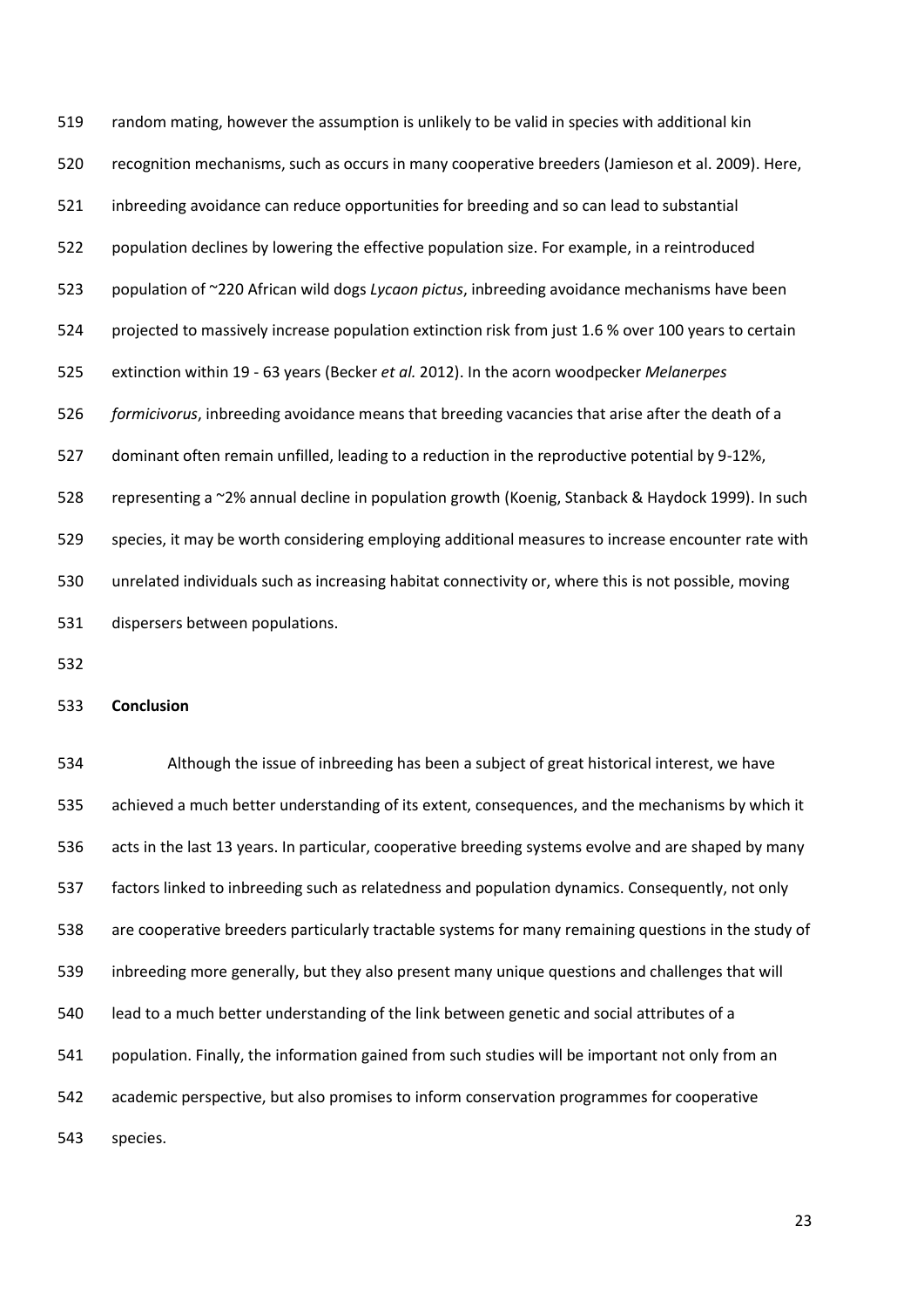random mating, however the assumption is unlikely to be valid in species with additional kin recognition mechanisms, such as occurs in many cooperative breeders (Jamieson et al. 2009). Here, inbreeding avoidance can reduce opportunities for breeding and so can lead to substantial population declines by lowering the effective population size. For example, in a reintroduced population of ~220 African wild dogs *Lycaon pictus*, inbreeding avoidance mechanisms have been projected to massively increase population extinction risk from just 1.6 % over 100 years to certain extinction within 19 - 63 years (Becker *et al.* 2012). In the acorn woodpecker *Melanerpes formicivorus*, inbreeding avoidance means that breeding vacancies that arise after the death of a dominant often remain unfilled, leading to a reduction in the reproductive potential by 9-12%, representing a ~2% annual decline in population growth (Koenig, Stanback & Haydock 1999). In such species, it may be worth considering employing additional measures to increase encounter rate with unrelated individuals such as increasing habitat connectivity or, where this is not possible, moving dispersers between populations.

## **Conclusion**

 Although the issue of inbreeding has been a subject of great historical interest, we have achieved a much better understanding of its extent, consequences, and the mechanisms by which it acts in the last 13 years. In particular, cooperative breeding systems evolve and are shaped by many factors linked to inbreeding such as relatedness and population dynamics. Consequently, not only are cooperative breeders particularly tractable systems for many remaining questions in the study of inbreeding more generally, but they also present many unique questions and challenges that will lead to a much better understanding of the link between genetic and social attributes of a population. Finally, the information gained from such studies will be important not only from an academic perspective, but also promises to inform conservation programmes for cooperative species.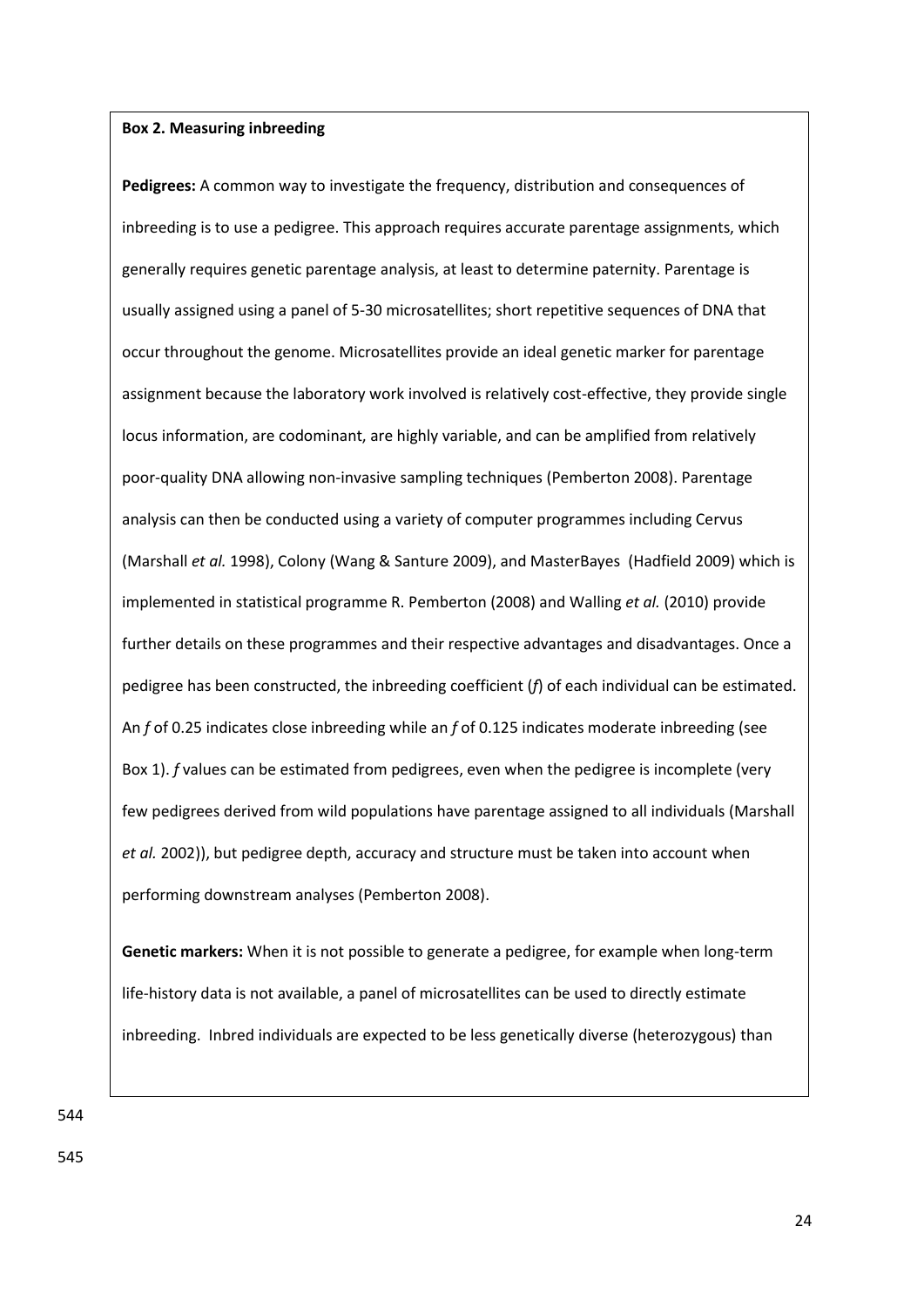## **Box 2. Measuring inbreeding**

**Pedigrees:** A common way to investigate the frequency, distribution and consequences of inbreeding is to use a pedigree. This approach requires accurate parentage assignments, which generally requires genetic parentage analysis, at least to determine paternity. Parentage is usually assigned using a panel of 5-30 microsatellites; short repetitive sequences of DNA that occur throughout the genome. Microsatellites provide an ideal genetic marker for parentage assignment because the laboratory work involved is relatively cost-effective, they provide single locus information, are codominant, are highly variable, and can be amplified from relatively poor-quality DNA allowing non-invasive sampling techniques (Pemberton 2008). Parentage analysis can then be conducted using a variety of computer programmes including Cervus (Marshall *et al.* 1998), Colony (Wang & Santure 2009), and MasterBayes (Hadfield 2009) which is implemented in statistical programme R. Pemberton (2008) and Walling *et al.* (2010) provide further details on these programmes and their respective advantages and disadvantages. Once a pedigree has been constructed, the inbreeding coefficient (*f*) of each individual can be estimated. An *f* of 0.25 indicates close inbreeding while an *f* of 0.125 indicates moderate inbreeding (see Box 1). *f* values can be estimated from pedigrees, even when the pedigree is incomplete (very few pedigrees derived from wild populations have parentage assigned to all individuals (Marshall *et al.* 2002)), but pedigree depth, accuracy and structure must be taken into account when performing downstream analyses (Pemberton 2008).

**Genetic markers:** When it is not possible to generate a pedigree, for example when long-term life-history data is not available, a panel of microsatellites can be used to directly estimate inbreeding. Inbred individuals are expected to be less genetically diverse (heterozygous) than

544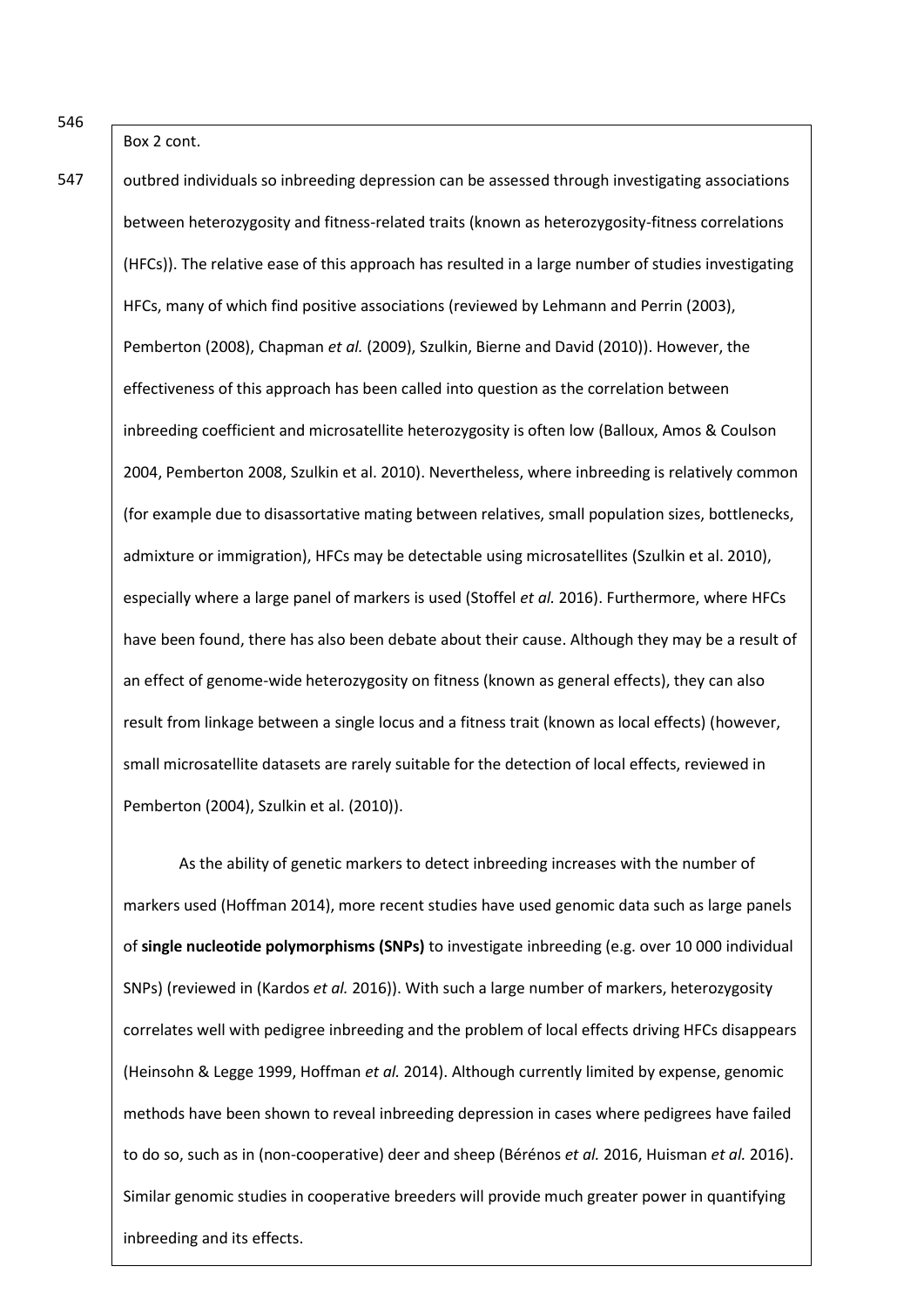Box 2 cont.

outbred individuals so inbreeding depression can be assessed through investigating associations between heterozygosity and fitness-related traits (known as heterozygosity-fitness correlations (HFCs)). The relative ease of this approach has resulted in a large number of studies investigating HFCs, many of which find positive associations (reviewed by Lehmann and Perrin (2003), Pemberton (2008), Chapman *et al.* (2009), Szulkin, Bierne and David (2010)). However, the effectiveness of this approach has been called into question as the correlation between inbreeding coefficient and microsatellite heterozygosity is often low (Balloux, Amos & Coulson 2004, Pemberton 2008, Szulkin et al. 2010). Nevertheless, where inbreeding is relatively common (for example due to disassortative mating between relatives, small population sizes, bottlenecks, admixture or immigration), HFCs may be detectable using microsatellites (Szulkin et al. 2010), especially where a large panel of markers is used (Stoffel *et al.* 2016). Furthermore, where HFCs have been found, there has also been debate about their cause. Although they may be a result of an effect of genome-wide heterozygosity on fitness (known as general effects), they can also result from linkage between a single locus and a fitness trait (known as local effects) (however, small microsatellite datasets are rarely suitable for the detection of local effects, reviewed in Pemberton (2004), Szulkin et al. (2010)).

25 As the ability of genetic markers to detect inbreeding increases with the number of markers used (Hoffman 2014), more recent studies have used genomic data such as large panels of **single nucleotide polymorphisms (SNPs)** to investigate inbreeding (e.g. over 10 000 individual SNPs) (reviewed in (Kardos *et al.* 2016)). With such a large number of markers, heterozygosity correlates well with pedigree inbreeding and the problem of local effects driving HFCs disappears (Heinsohn & Legge 1999, Hoffman *et al.* 2014). Although currently limited by expense, genomic methods have been shown to reveal inbreeding depression in cases where pedigrees have failed to do so, such as in (non-cooperative) deer and sheep (Bérénos *et al.* 2016, Huisman *et al.* 2016). Similar genomic studies in cooperative breeders will provide much greater power in quantifying inbreeding and its effects.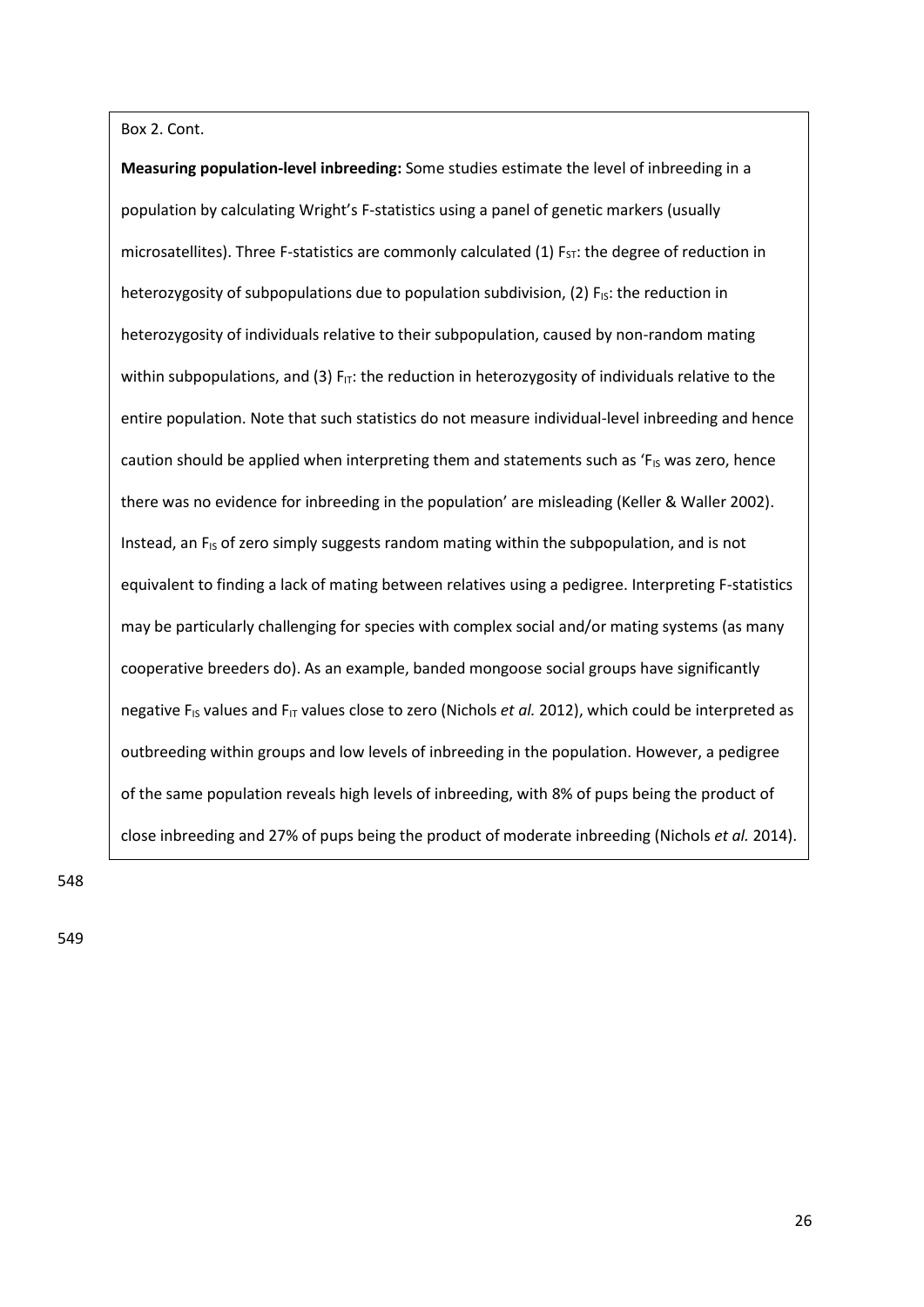Box 2. Cont.

**Measuring population-level inbreeding:** Some studies estimate the level of inbreeding in a population by calculating Wright's F-statistics using a panel of genetic markers (usually microsatellites). Three F-statistics are commonly calculated (1)  $F_{ST}$ : the degree of reduction in heterozygosity of subpopulations due to population subdivision, (2)  $F_{1S}$ : the reduction in heterozygosity of individuals relative to their subpopulation, caused by non-random mating within subpopulations, and (3)  $F_{IT}$ : the reduction in heterozygosity of individuals relative to the entire population. Note that such statistics do not measure individual-level inbreeding and hence caution should be applied when interpreting them and statements such as ' $F_{1S}$  was zero, hence there was no evidence for inbreeding in the population' are misleading (Keller & Waller 2002). Instead, an  $F_{15}$  of zero simply suggests random mating within the subpopulation, and is not equivalent to finding a lack of mating between relatives using a pedigree. Interpreting F-statistics may be particularly challenging for species with complex social and/or mating systems (as many cooperative breeders do). As an example, banded mongoose social groups have significantly negative F<sub>IS</sub> values and F<sub>IT</sub> values close to zero (Nichols *et al.* 2012), which could be interpreted as outbreeding within groups and low levels of inbreeding in the population. However, a pedigree of the same population reveals high levels of inbreeding, with 8% of pups being the product of close inbreeding and 27% of pups being the product of moderate inbreeding (Nichols *et al.* 2014).

548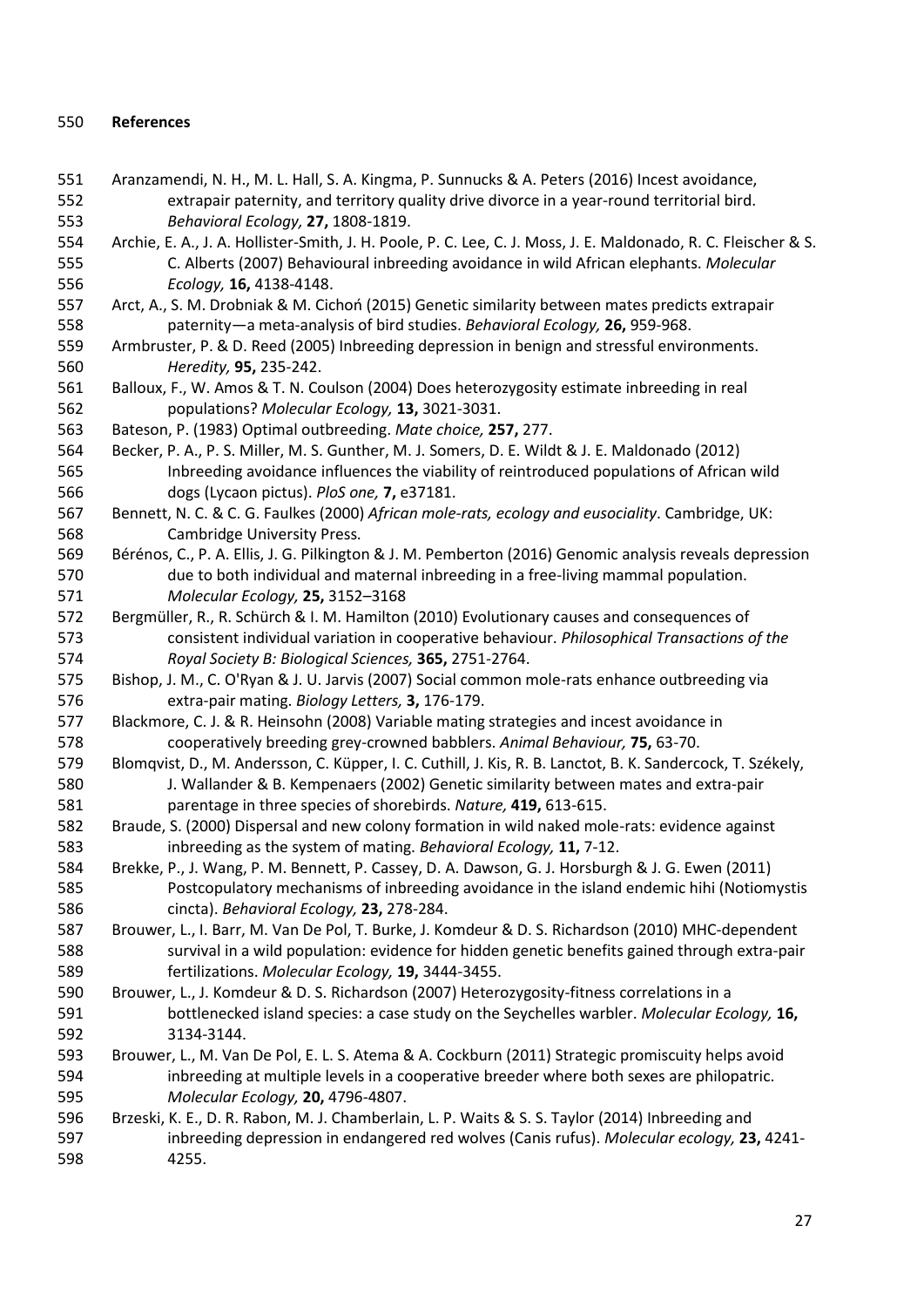## **References**

- Aranzamendi, N. H., M. L. Hall, S. A. Kingma, P. Sunnucks & A. Peters (2016) Incest avoidance, extrapair paternity, and territory quality drive divorce in a year-round territorial bird. *Behavioral Ecology,* **27,** 1808-1819.
- Archie, E. A., J. A. Hollister-Smith, J. H. Poole, P. C. Lee, C. J. Moss, J. E. Maldonado, R. C. Fleischer & S. C. Alberts (2007) Behavioural inbreeding avoidance in wild African elephants. *Molecular Ecology,* **16,** 4138-4148.
- Arct, A., S. M. Drobniak & M. Cichoń (2015) Genetic similarity between mates predicts extrapair paternity—a meta-analysis of bird studies. *Behavioral Ecology,* **26,** 959-968.
- Armbruster, P. & D. Reed (2005) Inbreeding depression in benign and stressful environments. *Heredity,* **95,** 235-242.
- Balloux, F., W. Amos & T. N. Coulson (2004) Does heterozygosity estimate inbreeding in real populations? *Molecular Ecology,* **13,** 3021-3031.
- Bateson, P. (1983) Optimal outbreeding. *Mate choice,* **257,** 277.
- Becker, P. A., P. S. Miller, M. S. Gunther, M. J. Somers, D. E. Wildt & J. E. Maldonado (2012) Inbreeding avoidance influences the viability of reintroduced populations of African wild dogs (Lycaon pictus). *PloS one,* **7,** e37181.
- Bennett, N. C. & C. G. Faulkes (2000) *African mole-rats, ecology and eusociality*. Cambridge, UK: Cambridge University Press.
- Bérénos, C., P. A. Ellis, J. G. Pilkington & J. M. Pemberton (2016) Genomic analysis reveals depression due to both individual and maternal inbreeding in a free-living mammal population. *Molecular Ecology,* **25,** 3152–3168
- Bergmüller, R., R. Schürch & I. M. Hamilton (2010) Evolutionary causes and consequences of consistent individual variation in cooperative behaviour. *Philosophical Transactions of the Royal Society B: Biological Sciences,* **365,** 2751-2764.
- Bishop, J. M., C. O'Ryan & J. U. Jarvis (2007) Social common mole-rats enhance outbreeding via extra-pair mating. *Biology Letters,* **3,** 176-179.
- Blackmore, C. J. & R. Heinsohn (2008) Variable mating strategies and incest avoidance in cooperatively breeding grey-crowned babblers. *Animal Behaviour,* **75,** 63-70.
- Blomqvist, D., M. Andersson, C. Küpper, I. C. Cuthill, J. Kis, R. B. Lanctot, B. K. Sandercock, T. Székely, J. Wallander & B. Kempenaers (2002) Genetic similarity between mates and extra-pair parentage in three species of shorebirds. *Nature,* **419,** 613-615.
- Braude, S. (2000) Dispersal and new colony formation in wild naked mole-rats: evidence against inbreeding as the system of mating. *Behavioral Ecology,* **11,** 7-12.
- Brekke, P., J. Wang, P. M. Bennett, P. Cassey, D. A. Dawson, G. J. Horsburgh & J. G. Ewen (2011) Postcopulatory mechanisms of inbreeding avoidance in the island endemic hihi (Notiomystis cincta). *Behavioral Ecology,* **23,** 278-284.
- Brouwer, L., I. Barr, M. Van De Pol, T. Burke, J. Komdeur & D. S. Richardson (2010) MHC‐dependent survival in a wild population: evidence for hidden genetic benefits gained through extra‐pair fertilizations. *Molecular Ecology,* **19,** 3444-3455.
- Brouwer, L., J. Komdeur & D. S. Richardson (2007) Heterozygosity-fitness correlations in a bottlenecked island species: a case study on the Seychelles warbler. *Molecular Ecology,* **16,** 3134-3144.
- Brouwer, L., M. Van De Pol, E. L. S. Atema & A. Cockburn (2011) Strategic promiscuity helps avoid inbreeding at multiple levels in a cooperative breeder where both sexes are philopatric. *Molecular Ecology,* **20,** 4796-4807.
- Brzeski, K. E., D. R. Rabon, M. J. Chamberlain, L. P. Waits & S. S. Taylor (2014) Inbreeding and inbreeding depression in endangered red wolves (Canis rufus). *Molecular ecology,* **23,** 4241- 4255.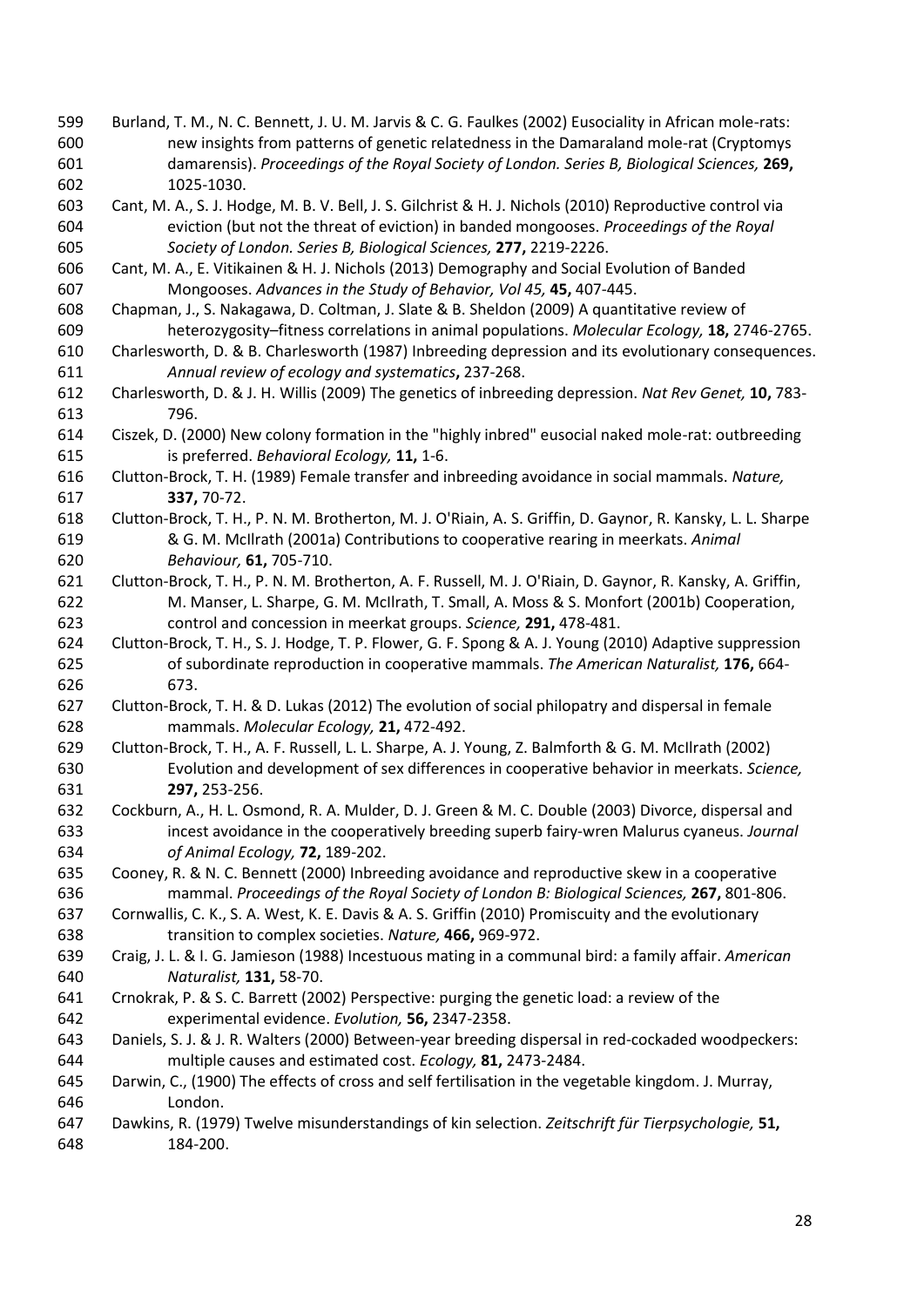- Burland, T. M., N. C. Bennett, J. U. M. Jarvis & C. G. Faulkes (2002) Eusociality in African mole-rats: new insights from patterns of genetic relatedness in the Damaraland mole-rat (Cryptomys damarensis). *Proceedings of the Royal Society of London. Series B, Biological Sciences,* **269,** 1025-1030.
- Cant, M. A., S. J. Hodge, M. B. V. Bell, J. S. Gilchrist & H. J. Nichols (2010) Reproductive control via eviction (but not the threat of eviction) in banded mongooses. *Proceedings of the Royal Society of London. Series B, Biological Sciences,* **277,** 2219-2226.
- Cant, M. A., E. Vitikainen & H. J. Nichols (2013) Demography and Social Evolution of Banded Mongooses. *Advances in the Study of Behavior, Vol 45,* **45,** 407-445.
- Chapman, J., S. Nakagawa, D. Coltman, J. Slate & B. Sheldon (2009) A quantitative review of heterozygosity–fitness correlations in animal populations. *Molecular Ecology,* **18,** 2746-2765.
- Charlesworth, D. & B. Charlesworth (1987) Inbreeding depression and its evolutionary consequences. *Annual review of ecology and systematics***,** 237-268.
- Charlesworth, D. & J. H. Willis (2009) The genetics of inbreeding depression. *Nat Rev Genet,* **10,** 783- 796.
- Ciszek, D. (2000) New colony formation in the "highly inbred" eusocial naked mole-rat: outbreeding is preferred. *Behavioral Ecology,* **11,** 1-6.
- Clutton-Brock, T. H. (1989) Female transfer and inbreeding avoidance in social mammals. *Nature,* **337,** 70-72.
- Clutton-Brock, T. H., P. N. M. Brotherton, M. J. O'Riain, A. S. Griffin, D. Gaynor, R. Kansky, L. L. Sharpe & G. M. McIlrath (2001a) Contributions to cooperative rearing in meerkats. *Animal Behaviour,* **61,** 705-710.
- Clutton-Brock, T. H., P. N. M. Brotherton, A. F. Russell, M. J. O'Riain, D. Gaynor, R. Kansky, A. Griffin, M. Manser, L. Sharpe, G. M. McIlrath, T. Small, A. Moss & S. Monfort (2001b) Cooperation, control and concession in meerkat groups. *Science,* **291,** 478-481.
- Clutton-Brock, T. H., S. J. Hodge, T. P. Flower, G. F. Spong & A. J. Young (2010) Adaptive suppression of subordinate reproduction in cooperative mammals. *The American Naturalist,* **176,** 664- 673.
- Clutton-Brock, T. H. & D. Lukas (2012) The evolution of social philopatry and dispersal in female mammals. *Molecular Ecology,* **21,** 472-492.
- Clutton-Brock, T. H., A. F. Russell, L. L. Sharpe, A. J. Young, Z. Balmforth & G. M. McIlrath (2002) Evolution and development of sex differences in cooperative behavior in meerkats. *Science,* **297,** 253-256.
- Cockburn, A., H. L. Osmond, R. A. Mulder, D. J. Green & M. C. Double (2003) Divorce, dispersal and incest avoidance in the cooperatively breeding superb fairy‐wren Malurus cyaneus. *Journal of Animal Ecology,* **72,** 189-202.
- Cooney, R. & N. C. Bennett (2000) Inbreeding avoidance and reproductive skew in a cooperative mammal. *Proceedings of the Royal Society of London B: Biological Sciences,* **267,** 801-806.
- Cornwallis, C. K., S. A. West, K. E. Davis & A. S. Griffin (2010) Promiscuity and the evolutionary transition to complex societies. *Nature,* **466,** 969-972.
- Craig, J. L. & I. G. Jamieson (1988) Incestuous mating in a communal bird: a family affair. *American Naturalist,* **131,** 58-70.
- Crnokrak, P. & S. C. Barrett (2002) Perspective: purging the genetic load: a review of the experimental evidence. *Evolution,* **56,** 2347-2358.
- Daniels, S. J. & J. R. Walters (2000) Between‐year breeding dispersal in red‐cockaded woodpeckers: multiple causes and estimated cost. *Ecology,* **81,** 2473-2484.
- Darwin, C., (1900) The effects of cross and self fertilisation in the vegetable kingdom. J. Murray, London.
- Dawkins, R. (1979) Twelve misunderstandings of kin selection. *Zeitschrift für Tierpsychologie,* **51,** 184-200.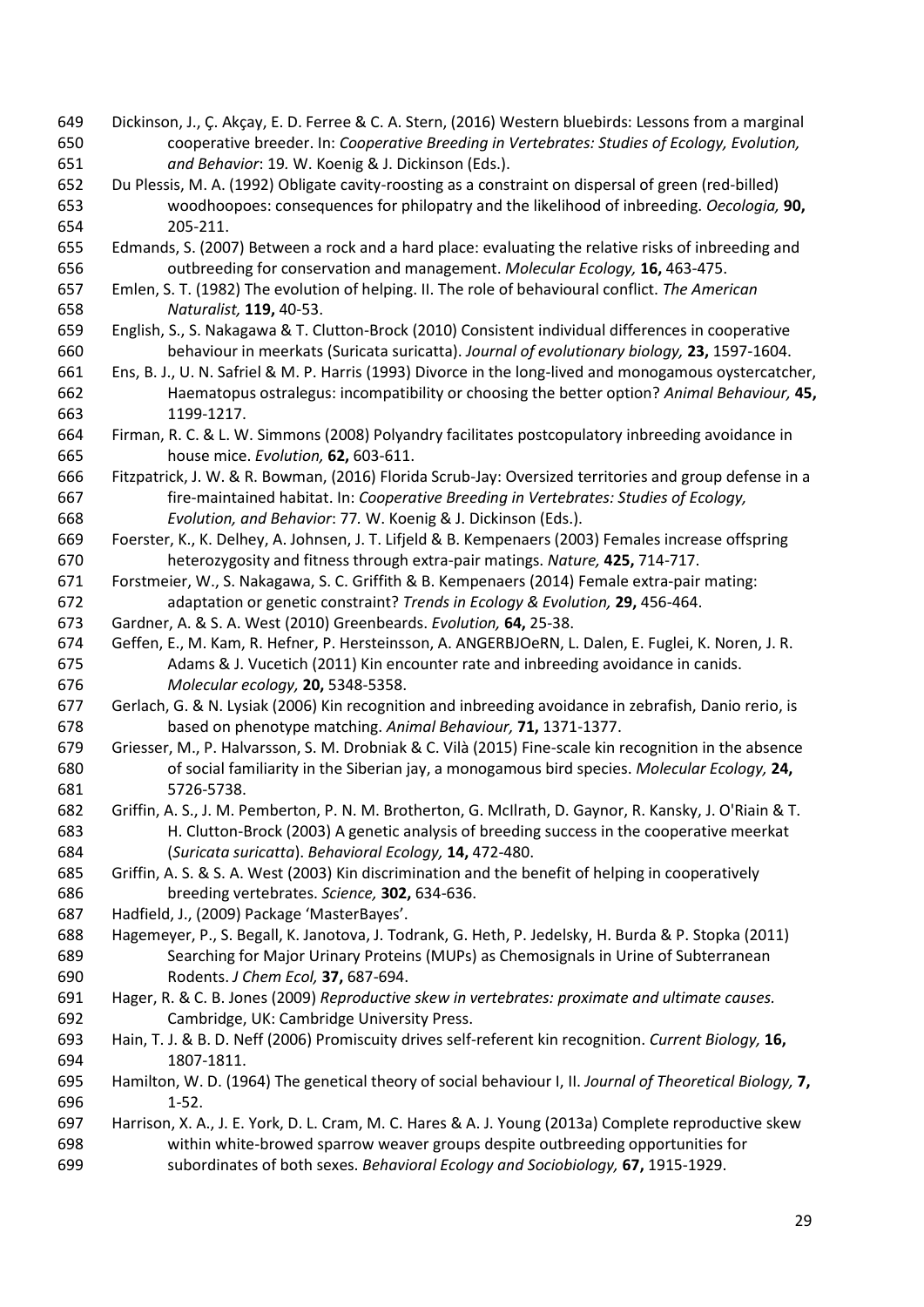- Dickinson, J., Ç. Akçay, E. D. Ferree & C. A. Stern, (2016) Western bluebirds: Lessons from a marginal cooperative breeder. In: *Cooperative Breeding in Vertebrates: Studies of Ecology, Evolution, and Behavior*: 19*.* W. Koenig & J. Dickinson (Eds.).
- Du Plessis, M. A. (1992) Obligate cavity-roosting as a constraint on dispersal of green (red-billed) woodhoopoes: consequences for philopatry and the likelihood of inbreeding. *Oecologia,* **90,** 205-211.
- Edmands, S. (2007) Between a rock and a hard place: evaluating the relative risks of inbreeding and outbreeding for conservation and management. *Molecular Ecology,* **16,** 463-475.
- Emlen, S. T. (1982) The evolution of helping. II. The role of behavioural conflict. *The American Naturalist,* **119,** 40-53.
- English, S., S. Nakagawa & T. Clutton-Brock (2010) Consistent individual differences in cooperative behaviour in meerkats (Suricata suricatta). *Journal of evolutionary biology,* **23,** 1597-1604.
- Ens, B. J., U. N. Safriel & M. P. Harris (1993) Divorce in the long-lived and monogamous oystercatcher, Haematopus ostralegus: incompatibility or choosing the better option? *Animal Behaviour,* **45,** 1199-1217.
- Firman, R. C. & L. W. Simmons (2008) Polyandry facilitates postcopulatory inbreeding avoidance in house mice. *Evolution,* **62,** 603-611.
- Fitzpatrick, J. W. & R. Bowman, (2016) Florida Scrub-Jay: Oversized territories and group defense in a fire-maintained habitat. In: *Cooperative Breeding in Vertebrates: Studies of Ecology, Evolution, and Behavior*: 77*.* W. Koenig & J. Dickinson (Eds.).
- Foerster, K., K. Delhey, A. Johnsen, J. T. Lifjeld & B. Kempenaers (2003) Females increase offspring heterozygosity and fitness through extra-pair matings. *Nature,* **425,** 714-717.
- Forstmeier, W., S. Nakagawa, S. C. Griffith & B. Kempenaers (2014) Female extra-pair mating: adaptation or genetic constraint? *Trends in Ecology & Evolution,* **29,** 456-464.
- Gardner, A. & S. A. West (2010) Greenbeards. *Evolution,* **64,** 25-38.
- Geffen, E., M. Kam, R. Hefner, P. Hersteinsson, A. ANGERBJOeRN, L. Dalen, E. Fuglei, K. Noren, J. R. Adams & J. Vucetich (2011) Kin encounter rate and inbreeding avoidance in canids. *Molecular ecology,* **20,** 5348-5358.
- Gerlach, G. & N. Lysiak (2006) Kin recognition and inbreeding avoidance in zebrafish, Danio rerio, is based on phenotype matching. *Animal Behaviour,* **71,** 1371-1377.
- Griesser, M., P. Halvarsson, S. M. Drobniak & C. Vilà (2015) Fine-scale kin recognition in the absence of social familiarity in the Siberian jay, a monogamous bird species. *Molecular Ecology,* **24,** 5726-5738.
- Griffin, A. S., J. M. Pemberton, P. N. M. Brotherton, G. McIlrath, D. Gaynor, R. Kansky, J. O'Riain & T. H. Clutton-Brock (2003) A genetic analysis of breeding success in the cooperative meerkat (*Suricata suricatta*). *Behavioral Ecology,* **14,** 472-480.
- Griffin, A. S. & S. A. West (2003) Kin discrimination and the benefit of helping in cooperatively breeding vertebrates. *Science,* **302,** 634-636.
- Hadfield, J., (2009) Package 'MasterBayes'.
- Hagemeyer, P., S. Begall, K. Janotova, J. Todrank, G. Heth, P. Jedelsky, H. Burda & P. Stopka (2011) Searching for Major Urinary Proteins (MUPs) as Chemosignals in Urine of Subterranean Rodents. *J Chem Ecol,* **37,** 687-694.
- Hager, R. & C. B. Jones (2009) *Reproductive skew in vertebrates: proximate and ultimate causes.*  Cambridge, UK: Cambridge University Press.
- Hain, T. J. & B. D. Neff (2006) Promiscuity drives self-referent kin recognition. *Current Biology,* **16,** 1807-1811.
- Hamilton, W. D. (1964) The genetical theory of social behaviour I, II. *Journal of Theoretical Biology,* **7,** 1-52.
- Harrison, X. A., J. E. York, D. L. Cram, M. C. Hares & A. J. Young (2013a) Complete reproductive skew within white-browed sparrow weaver groups despite outbreeding opportunities for subordinates of both sexes. *Behavioral Ecology and Sociobiology,* **67,** 1915-1929.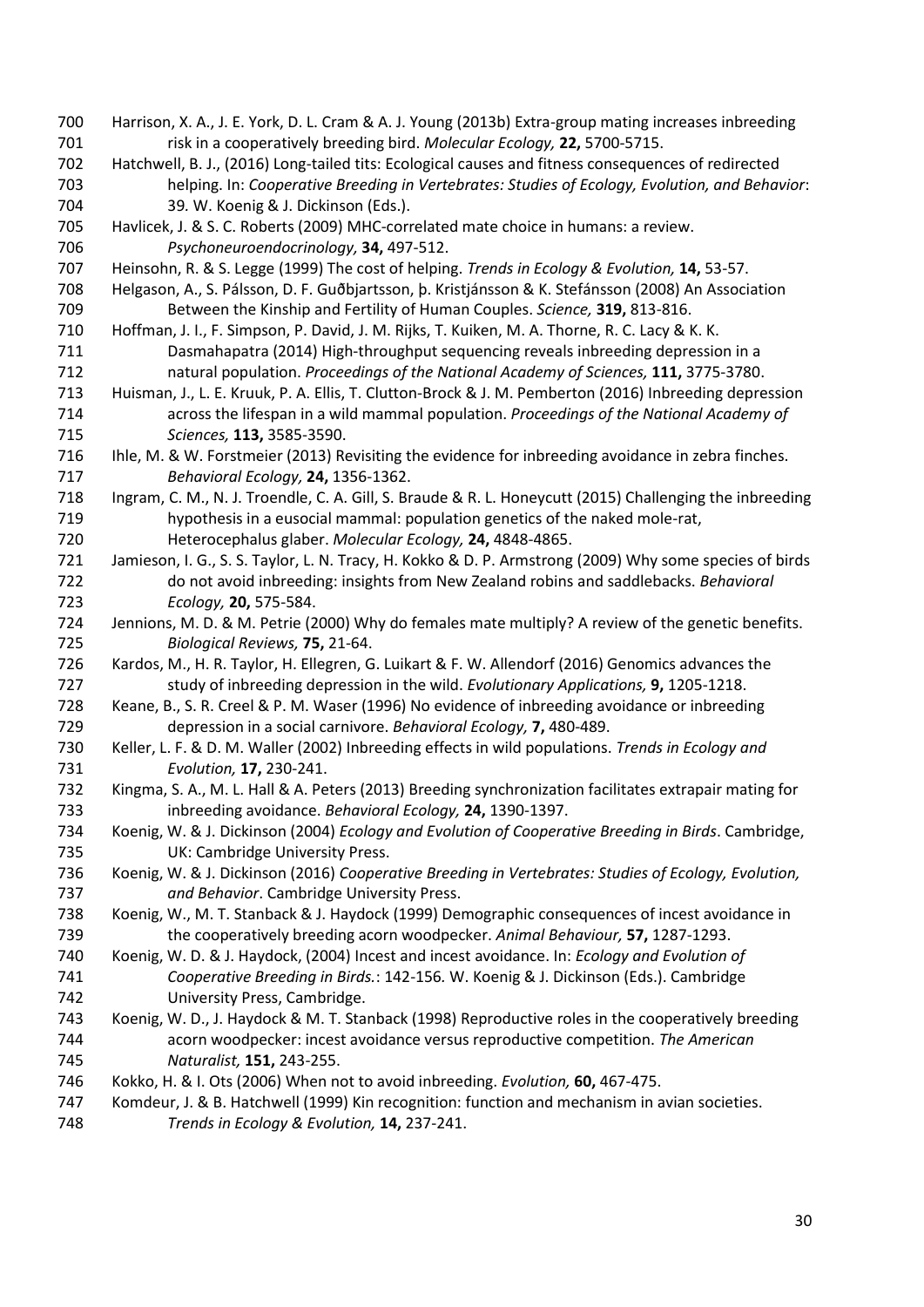Harrison, X. A., J. E. York, D. L. Cram & A. J. Young (2013b) Extra-group mating increases inbreeding risk in a cooperatively breeding bird. *Molecular Ecology,* **22,** 5700-5715. Hatchwell, B. J., (2016) Long-tailed tits: Ecological causes and fitness consequences of redirected helping. In: *Cooperative Breeding in Vertebrates: Studies of Ecology, Evolution, and Behavior*: 39*.* W. Koenig & J. Dickinson (Eds.). Havlicek, J. & S. C. Roberts (2009) MHC-correlated mate choice in humans: a review. *Psychoneuroendocrinology,* **34,** 497-512. Heinsohn, R. & S. Legge (1999) The cost of helping. *Trends in Ecology & Evolution,* **14,** 53-57. Helgason, A., S. Pálsson, D. F. Guðbjartsson, þ. Kristjánsson & K. Stefánsson (2008) An Association Between the Kinship and Fertility of Human Couples. *Science,* **319,** 813-816. Hoffman, J. I., F. Simpson, P. David, J. M. Rijks, T. Kuiken, M. A. Thorne, R. C. Lacy & K. K. Dasmahapatra (2014) High-throughput sequencing reveals inbreeding depression in a natural population. *Proceedings of the National Academy of Sciences,* **111,** 3775-3780. Huisman, J., L. E. Kruuk, P. A. Ellis, T. Clutton-Brock & J. M. Pemberton (2016) Inbreeding depression across the lifespan in a wild mammal population. *Proceedings of the National Academy of Sciences,* **113,** 3585-3590. Ihle, M. & W. Forstmeier (2013) Revisiting the evidence for inbreeding avoidance in zebra finches. *Behavioral Ecology,* **24,** 1356-1362. Ingram, C. M., N. J. Troendle, C. A. Gill, S. Braude & R. L. Honeycutt (2015) Challenging the inbreeding hypothesis in a eusocial mammal: population genetics of the naked mole-rat, Heterocephalus glaber. *Molecular Ecology,* **24,** 4848-4865. Jamieson, I. G., S. S. Taylor, L. N. Tracy, H. Kokko & D. P. Armstrong (2009) Why some species of birds do not avoid inbreeding: insights from New Zealand robins and saddlebacks. *Behavioral Ecology,* **20,** 575-584. Jennions, M. D. & M. Petrie (2000) Why do females mate multiply? A review of the genetic benefits. *Biological Reviews,* **75,** 21-64. Kardos, M., H. R. Taylor, H. Ellegren, G. Luikart & F. W. Allendorf (2016) Genomics advances the study of inbreeding depression in the wild. *Evolutionary Applications,* **9,** 1205-1218. Keane, B., S. R. Creel & P. M. Waser (1996) No evidence of inbreeding avoidance or inbreeding depression in a social carnivore. *Behavioral Ecology,* **7,** 480-489. Keller, L. F. & D. M. Waller (2002) Inbreeding effects in wild populations. *Trends in Ecology and Evolution,* **17,** 230-241. Kingma, S. A., M. L. Hall & A. Peters (2013) Breeding synchronization facilitates extrapair mating for inbreeding avoidance. *Behavioral Ecology,* **24,** 1390-1397. Koenig, W. & J. Dickinson (2004) *Ecology and Evolution of Cooperative Breeding in Birds*. Cambridge, UK: Cambridge University Press. Koenig, W. & J. Dickinson (2016) *Cooperative Breeding in Vertebrates: Studies of Ecology, Evolution, and Behavior*. Cambridge University Press. Koenig, W., M. T. Stanback & J. Haydock (1999) Demographic consequences of incest avoidance in the cooperatively breeding acorn woodpecker. *Animal Behaviour,* **57,** 1287-1293. Koenig, W. D. & J. Haydock, (2004) Incest and incest avoidance. In: *Ecology and Evolution of Cooperative Breeding in Birds.*: 142-156*.* W. Koenig & J. Dickinson (Eds.). Cambridge University Press, Cambridge. Koenig, W. D., J. Haydock & M. T. Stanback (1998) Reproductive roles in the cooperatively breeding acorn woodpecker: incest avoidance versus reproductive competition. *The American Naturalist,* **151,** 243-255. Kokko, H. & I. Ots (2006) When not to avoid inbreeding. *Evolution,* **60,** 467-475. Komdeur, J. & B. Hatchwell (1999) Kin recognition: function and mechanism in avian societies. *Trends in Ecology & Evolution,* **14,** 237-241.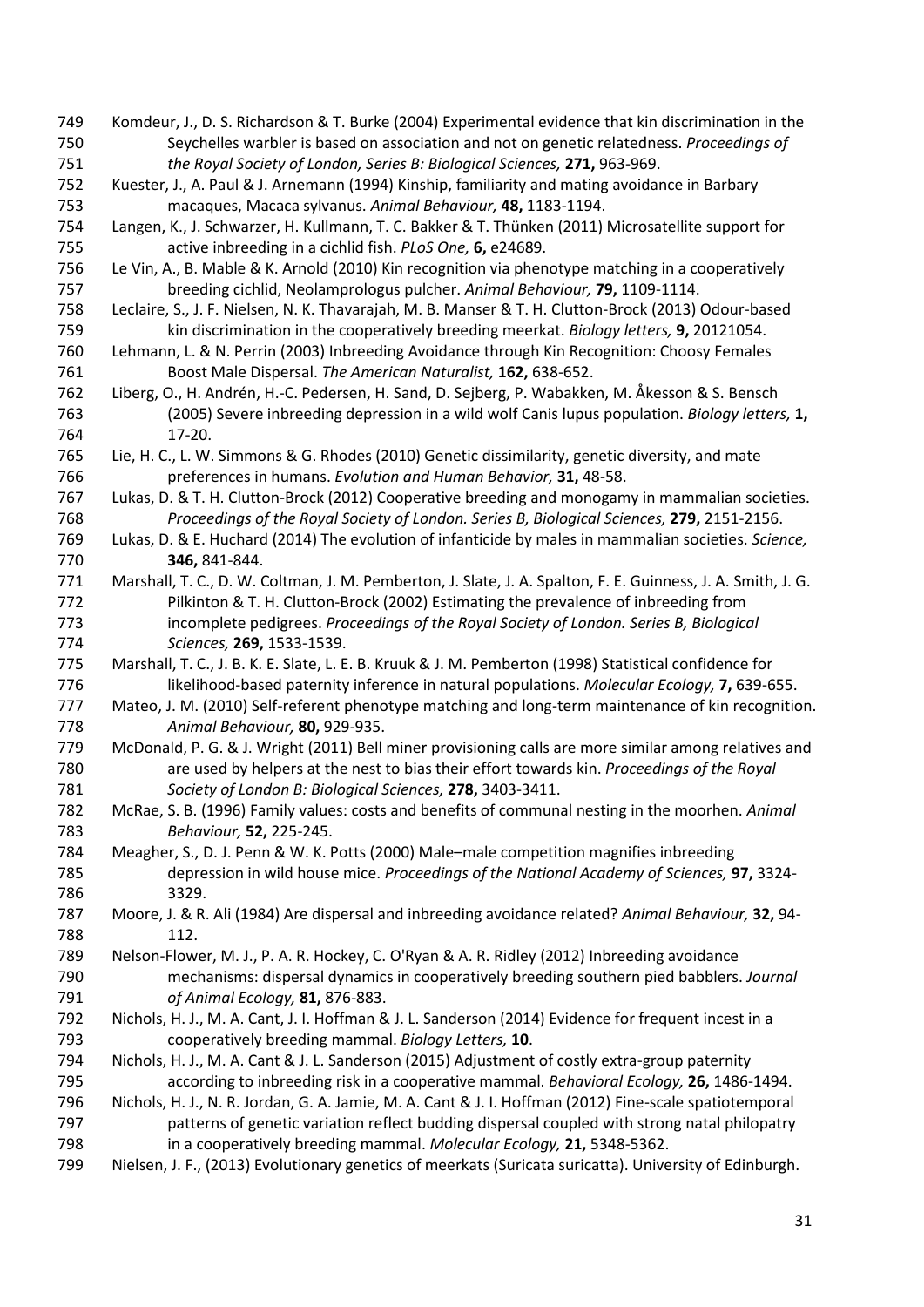- Komdeur, J., D. S. Richardson & T. Burke (2004) Experimental evidence that kin discrimination in the Seychelles warbler is based on association and not on genetic relatedness. *Proceedings of the Royal Society of London, Series B: Biological Sciences,* **271,** 963-969.
- Kuester, J., A. Paul & J. Arnemann (1994) Kinship, familiarity and mating avoidance in Barbary macaques, Macaca sylvanus. *Animal Behaviour,* **48,** 1183-1194.
- Langen, K., J. Schwarzer, H. Kullmann, T. C. Bakker & T. Thünken (2011) Microsatellite support for active inbreeding in a cichlid fish. *PLoS One,* **6,** e24689.
- Le Vin, A., B. Mable & K. Arnold (2010) Kin recognition via phenotype matching in a cooperatively breeding cichlid, Neolamprologus pulcher. *Animal Behaviour,* **79,** 1109-1114.
- Leclaire, S., J. F. Nielsen, N. K. Thavarajah, M. B. Manser & T. H. Clutton-Brock (2013) Odour-based kin discrimination in the cooperatively breeding meerkat. *Biology letters,* **9,** 20121054.
- Lehmann, L. & N. Perrin (2003) Inbreeding Avoidance through Kin Recognition: Choosy Females Boost Male Dispersal. *The American Naturalist,* **162,** 638-652.
- Liberg, O., H. Andrén, H.-C. Pedersen, H. Sand, D. Sejberg, P. Wabakken, M. Åkesson & S. Bensch (2005) Severe inbreeding depression in a wild wolf Canis lupus population. *Biology letters,* **1,** 17-20.
- Lie, H. C., L. W. Simmons & G. Rhodes (2010) Genetic dissimilarity, genetic diversity, and mate preferences in humans. *Evolution and Human Behavior,* **31,** 48-58.
- Lukas, D. & T. H. Clutton-Brock (2012) Cooperative breeding and monogamy in mammalian societies. *Proceedings of the Royal Society of London. Series B, Biological Sciences,* **279,** 2151-2156.
- Lukas, D. & E. Huchard (2014) The evolution of infanticide by males in mammalian societies. *Science,* **346,** 841-844.
- Marshall, T. C., D. W. Coltman, J. M. Pemberton, J. Slate, J. A. Spalton, F. E. Guinness, J. A. Smith, J. G. Pilkinton & T. H. Clutton-Brock (2002) Estimating the prevalence of inbreeding from incomplete pedigrees. *Proceedings of the Royal Society of London. Series B, Biological Sciences,* **269,** 1533-1539.
- Marshall, T. C., J. B. K. E. Slate, L. E. B. Kruuk & J. M. Pemberton (1998) Statistical confidence for likelihood-based paternity inference in natural populations. *Molecular Ecology,* **7,** 639-655.
- Mateo, J. M. (2010) Self-referent phenotype matching and long-term maintenance of kin recognition. *Animal Behaviour,* **80,** 929-935.
- McDonald, P. G. & J. Wright (2011) Bell miner provisioning calls are more similar among relatives and are used by helpers at the nest to bias their effort towards kin. *Proceedings of the Royal Society of London B: Biological Sciences,* **278,** 3403-3411.
- McRae, S. B. (1996) Family values: costs and benefits of communal nesting in the moorhen. *Animal Behaviour,* **52,** 225-245.
- Meagher, S., D. J. Penn & W. K. Potts (2000) Male–male competition magnifies inbreeding depression in wild house mice. *Proceedings of the National Academy of Sciences,* **97,** 3324- 3329.
- Moore, J. & R. Ali (1984) Are dispersal and inbreeding avoidance related? *Animal Behaviour,* **32,** 94- 112.
- Nelson-Flower, M. J., P. A. R. Hockey, C. O'Ryan & A. R. Ridley (2012) Inbreeding avoidance mechanisms: dispersal dynamics in cooperatively breeding southern pied babblers. *Journal of Animal Ecology,* **81,** 876-883.
- Nichols, H. J., M. A. Cant, J. I. Hoffman & J. L. Sanderson (2014) Evidence for frequent incest in a cooperatively breeding mammal. *Biology Letters,* **10**.
- Nichols, H. J., M. A. Cant & J. L. Sanderson (2015) Adjustment of costly extra-group paternity according to inbreeding risk in a cooperative mammal. *Behavioral Ecology,* **26,** 1486-1494.
- Nichols, H. J., N. R. Jordan, G. A. Jamie, M. A. Cant & J. I. Hoffman (2012) Fine-scale spatiotemporal patterns of genetic variation reflect budding dispersal coupled with strong natal philopatry in a cooperatively breeding mammal. *Molecular Ecology,* **21,** 5348-5362.
- Nielsen, J. F., (2013) Evolutionary genetics of meerkats (Suricata suricatta). University of Edinburgh.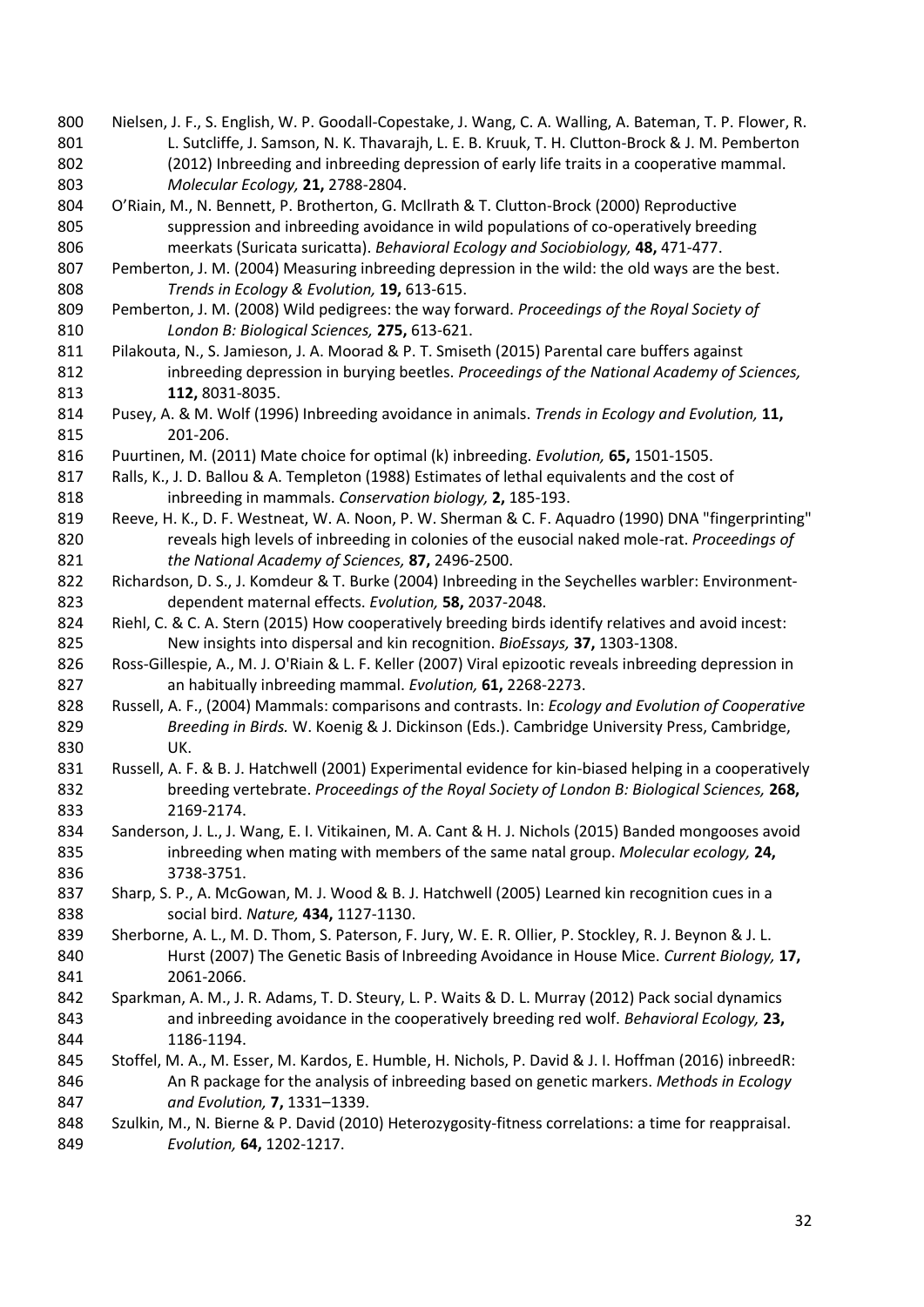- Nielsen, J. F., S. English, W. P. Goodall-Copestake, J. Wang, C. A. Walling, A. Bateman, T. P. Flower, R. 801 L. Sutcliffe, J. Samson, N. K. Thavarajh, L. E. B. Kruuk, T. H. Clutton-Brock & J. M. Pemberton (2012) Inbreeding and inbreeding depression of early life traits in a cooperative mammal. *Molecular Ecology,* **21,** 2788-2804.
- O'Riain, M., N. Bennett, P. Brotherton, G. McIlrath & T. Clutton-Brock (2000) Reproductive suppression and inbreeding avoidance in wild populations of co-operatively breeding meerkats (Suricata suricatta). *Behavioral Ecology and Sociobiology,* **48,** 471-477.
- Pemberton, J. M. (2004) Measuring inbreeding depression in the wild: the old ways are the best. *Trends in Ecology & Evolution,* **19,** 613-615.
- Pemberton, J. M. (2008) Wild pedigrees: the way forward. *Proceedings of the Royal Society of London B: Biological Sciences,* **275,** 613-621.
- Pilakouta, N., S. Jamieson, J. A. Moorad & P. T. Smiseth (2015) Parental care buffers against inbreeding depression in burying beetles. *Proceedings of the National Academy of Sciences,* **112,** 8031-8035.
- Pusey, A. & M. Wolf (1996) Inbreeding avoidance in animals. *Trends in Ecology and Evolution,* **11,** 201-206.
- Puurtinen, M. (2011) Mate choice for optimal (k) inbreeding. *Evolution,* **65,** 1501-1505.
- Ralls, K., J. D. Ballou & A. Templeton (1988) Estimates of lethal equivalents and the cost of inbreeding in mammals. *Conservation biology,* **2,** 185-193.
- Reeve, H. K., D. F. Westneat, W. A. Noon, P. W. Sherman & C. F. Aquadro (1990) DNA "fingerprinting" reveals high levels of inbreeding in colonies of the eusocial naked mole-rat. *Proceedings of the National Academy of Sciences,* **87,** 2496-2500.
- 822 Richardson, D. S., J. Komdeur & T. Burke (2004) Inbreeding in the Seychelles warbler: Environment-dependent maternal effects. *Evolution,* **58,** 2037-2048.
- Riehl, C. & C. A. Stern (2015) How cooperatively breeding birds identify relatives and avoid incest: New insights into dispersal and kin recognition. *BioEssays,* **37,** 1303-1308.
- Ross-Gillespie, A., M. J. O'Riain & L. F. Keller (2007) Viral epizootic reveals inbreeding depression in an habitually inbreeding mammal. *Evolution,* **61,** 2268-2273.
- Russell, A. F., (2004) Mammals: comparisons and contrasts. In: *Ecology and Evolution of Cooperative Breeding in Birds.* W. Koenig & J. Dickinson (Eds.). Cambridge University Press, Cambridge, UK.
- Russell, A. F. & B. J. Hatchwell (2001) Experimental evidence for kin-biased helping in a cooperatively breeding vertebrate. *Proceedings of the Royal Society of London B: Biological Sciences,* **268,** 2169-2174.
- 834 Sanderson, J. L., J. Wang, E. I. Vitikainen, M. A. Cant & H. J. Nichols (2015) Banded mongooses avoid inbreeding when mating with members of the same natal group. *Molecular ecology,* **24,** 3738-3751.
- 837 Sharp, S. P., A. McGowan, M. J. Wood & B. J. Hatchwell (2005) Learned kin recognition cues in a social bird. *Nature,* **434,** 1127-1130.
- Sherborne, A. L., M. D. Thom, S. Paterson, F. Jury, W. E. R. Ollier, P. Stockley, R. J. Beynon & J. L. Hurst (2007) The Genetic Basis of Inbreeding Avoidance in House Mice. *Current Biology,* **17,** 2061-2066.
- Sparkman, A. M., J. R. Adams, T. D. Steury, L. P. Waits & D. L. Murray (2012) Pack social dynamics and inbreeding avoidance in the cooperatively breeding red wolf. *Behavioral Ecology,* **23,** 1186-1194.
- Stoffel, M. A., M. Esser, M. Kardos, E. Humble, H. Nichols, P. David & J. I. Hoffman (2016) inbreedR: An R package for the analysis of inbreeding based on genetic markers. *Methods in Ecology and Evolution,* **7,** 1331–1339.
- 848 Szulkin, M., N. Bierne & P. David (2010) Heterozygosity-fitness correlations: a time for reappraisal. *Evolution,* **64,** 1202-1217.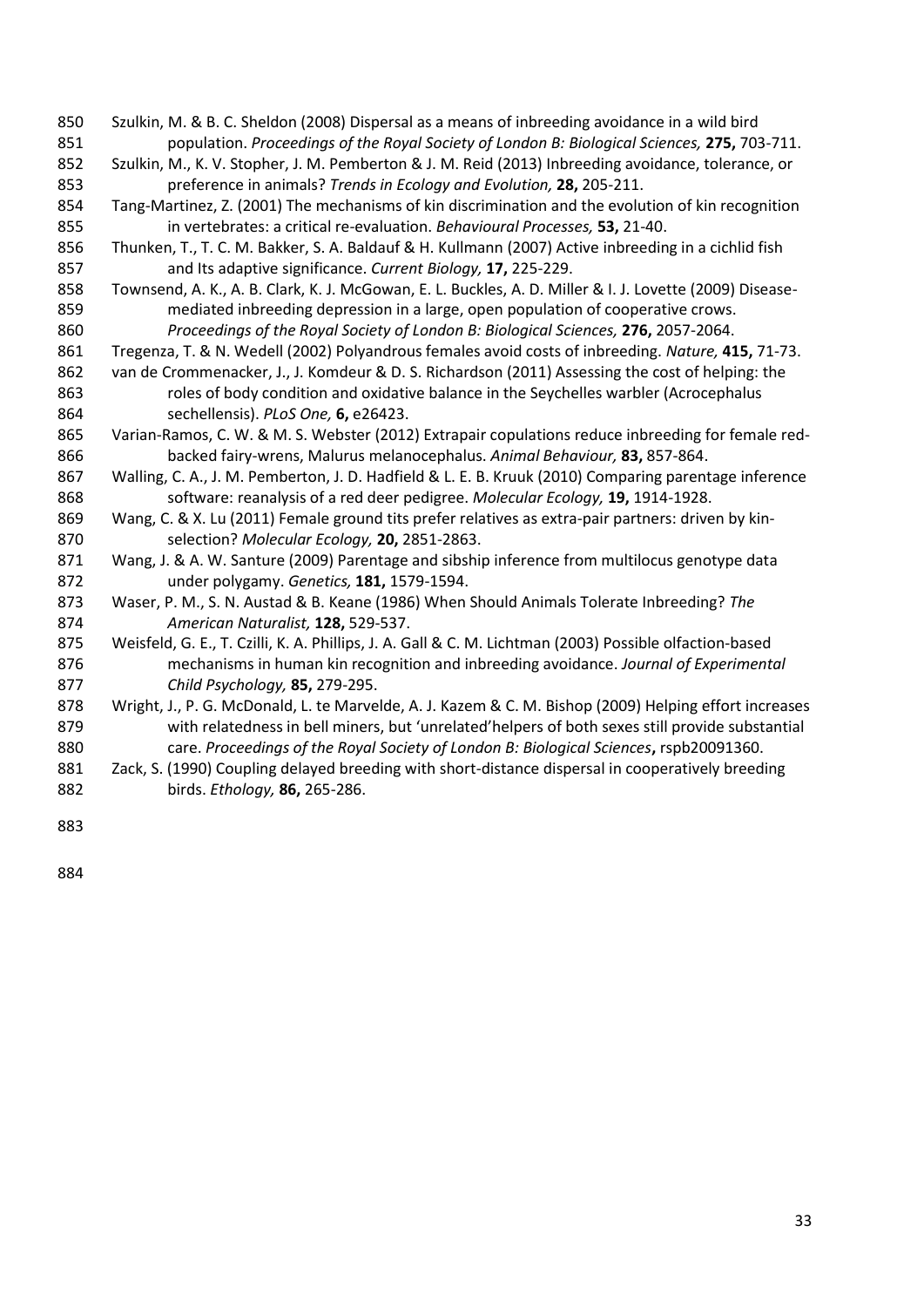- Szulkin, M. & B. C. Sheldon (2008) Dispersal as a means of inbreeding avoidance in a wild bird population. *Proceedings of the Royal Society of London B: Biological Sciences,* **275,** 703-711.
- Szulkin, M., K. V. Stopher, J. M. Pemberton & J. M. Reid (2013) Inbreeding avoidance, tolerance, or preference in animals? *Trends in Ecology and Evolution,* **28,** 205-211.
- Tang-Martinez, Z. (2001) The mechanisms of kin discrimination and the evolution of kin recognition in vertebrates: a critical re-evaluation. *Behavioural Processes,* **53,** 21-40.
- Thunken, T., T. C. M. Bakker, S. A. Baldauf & H. Kullmann (2007) Active inbreeding in a cichlid fish and Its adaptive significance. *Current Biology,* **17,** 225-229.
- Townsend, A. K., A. B. Clark, K. J. McGowan, E. L. Buckles, A. D. Miller & I. J. Lovette (2009) Disease- mediated inbreeding depression in a large, open population of cooperative crows. *Proceedings of the Royal Society of London B: Biological Sciences,* **276,** 2057-2064.
- Tregenza, T. & N. Wedell (2002) Polyandrous females avoid costs of inbreeding. *Nature,* **415,** 71-73.
- van de Crommenacker, J., J. Komdeur & D. S. Richardson (2011) Assessing the cost of helping: the 863 roles of body condition and oxidative balance in the Seychelles warbler (Acrocephalus sechellensis). *PLoS One,* **6,** e26423.
- Varian-Ramos, C. W. & M. S. Webster (2012) Extrapair copulations reduce inbreeding for female red-backed fairy-wrens, Malurus melanocephalus. *Animal Behaviour,* **83,** 857-864.
- Walling, C. A., J. M. Pemberton, J. D. Hadfield & L. E. B. Kruuk (2010) Comparing parentage inference software: reanalysis of a red deer pedigree. *Molecular Ecology,* **19,** 1914-1928.
- 869 Wang, C. & X. Lu (2011) Female ground tits prefer relatives as extra-pair partners: driven by kin-selection? *Molecular Ecology,* **20,** 2851-2863.
- Wang, J. & A. W. Santure (2009) Parentage and sibship inference from multilocus genotype data under polygamy. *Genetics,* **181,** 1579-1594.
- Waser, P. M., S. N. Austad & B. Keane (1986) When Should Animals Tolerate Inbreeding? *The American Naturalist,* **128,** 529-537.
- Weisfeld, G. E., T. Czilli, K. A. Phillips, J. A. Gall & C. M. Lichtman (2003) Possible olfaction-based mechanisms in human kin recognition and inbreeding avoidance. *Journal of Experimental Child Psychology,* **85,** 279-295.
- Wright, J., P. G. McDonald, L. te Marvelde, A. J. Kazem & C. M. Bishop (2009) Helping effort increases with relatedness in bell miners, but 'unrelated'helpers of both sexes still provide substantial care. *Proceedings of the Royal Society of London B: Biological Sciences***,** rspb20091360.
- Zack, S. (1990) Coupling delayed breeding with short-distance dispersal in cooperatively breeding birds. *Ethology,* **86,** 265-286.